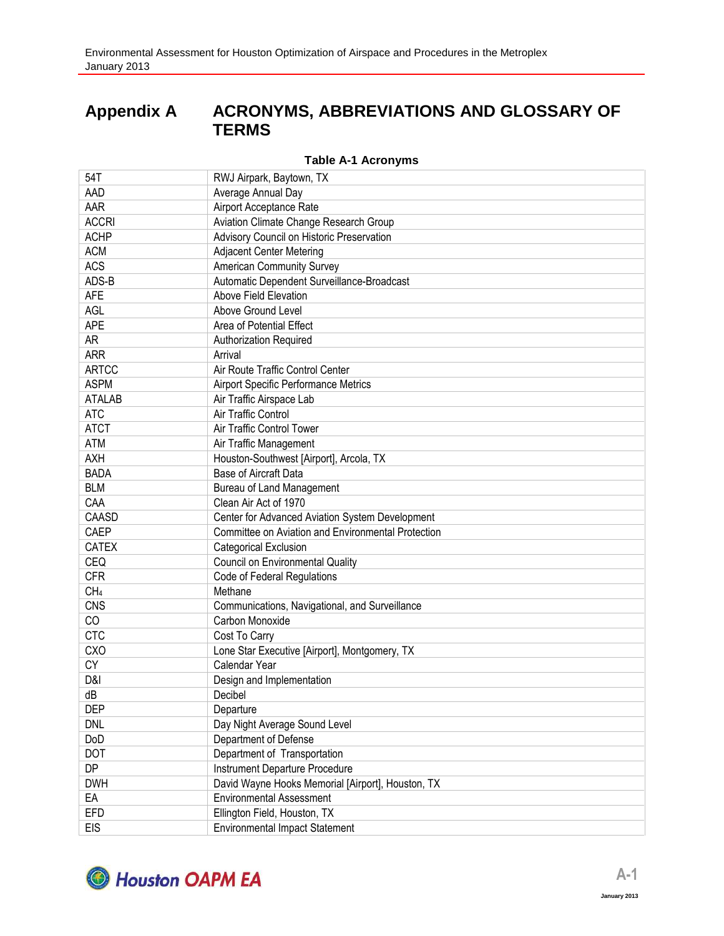## **Appendix A ACRONYMS, ABBREVIATIONS AND GLOSSARY OF TERMS**

| 54T             | RWJ Airpark, Baytown, TX                           |
|-----------------|----------------------------------------------------|
| AAD             | Average Annual Day                                 |
| AAR             | Airport Acceptance Rate                            |
| <b>ACCRI</b>    | Aviation Climate Change Research Group             |
| <b>ACHP</b>     | Advisory Council on Historic Preservation          |
| <b>ACM</b>      | <b>Adjacent Center Metering</b>                    |
| <b>ACS</b>      | <b>American Community Survey</b>                   |
| ADS-B           | Automatic Dependent Surveillance-Broadcast         |
| <b>AFE</b>      | Above Field Elevation                              |
| <b>AGL</b>      | Above Ground Level                                 |
| <b>APE</b>      | Area of Potential Effect                           |
| AR              | Authorization Required                             |
| <b>ARR</b>      | Arrival                                            |
| <b>ARTCC</b>    | Air Route Traffic Control Center                   |
| <b>ASPM</b>     | Airport Specific Performance Metrics               |
| <b>ATALAB</b>   | Air Traffic Airspace Lab                           |
| <b>ATC</b>      | Air Traffic Control                                |
| <b>ATCT</b>     | Air Traffic Control Tower                          |
| <b>ATM</b>      | Air Traffic Management                             |
| <b>AXH</b>      | Houston-Southwest [Airport], Arcola, TX            |
| <b>BADA</b>     | Base of Aircraft Data                              |
| <b>BLM</b>      | Bureau of Land Management                          |
| CAA             | Clean Air Act of 1970                              |
| CAASD           | Center for Advanced Aviation System Development    |
| CAEP            | Committee on Aviation and Environmental Protection |
| <b>CATEX</b>    | <b>Categorical Exclusion</b>                       |
| <b>CEQ</b>      | <b>Council on Environmental Quality</b>            |
| <b>CFR</b>      | Code of Federal Regulations                        |
| CH <sub>4</sub> | Methane                                            |
| <b>CNS</b>      | Communications, Navigational, and Surveillance     |
| CO              | Carbon Monoxide                                    |
| <b>CTC</b>      | Cost To Carry                                      |
| CXO             | Lone Star Executive [Airport], Montgomery, TX      |
| CY              | Calendar Year                                      |
| D&I             | Design and Implementation                          |
| dB              | Decibel                                            |
| <b>DEP</b>      | Departure                                          |
| <b>DNL</b>      | Day Night Average Sound Level                      |
| DoD             | Department of Defense                              |
| <b>DOT</b>      | Department of Transportation                       |
| DP              | Instrument Departure Procedure                     |
| <b>DWH</b>      | David Wayne Hooks Memorial [Airport], Houston, TX  |
| EA              | <b>Environmental Assessment</b>                    |
| <b>EFD</b>      | Ellington Field, Houston, TX                       |
| <b>EIS</b>      | <b>Environmental Impact Statement</b>              |
|                 |                                                    |

**Table A-1 Acronyms**

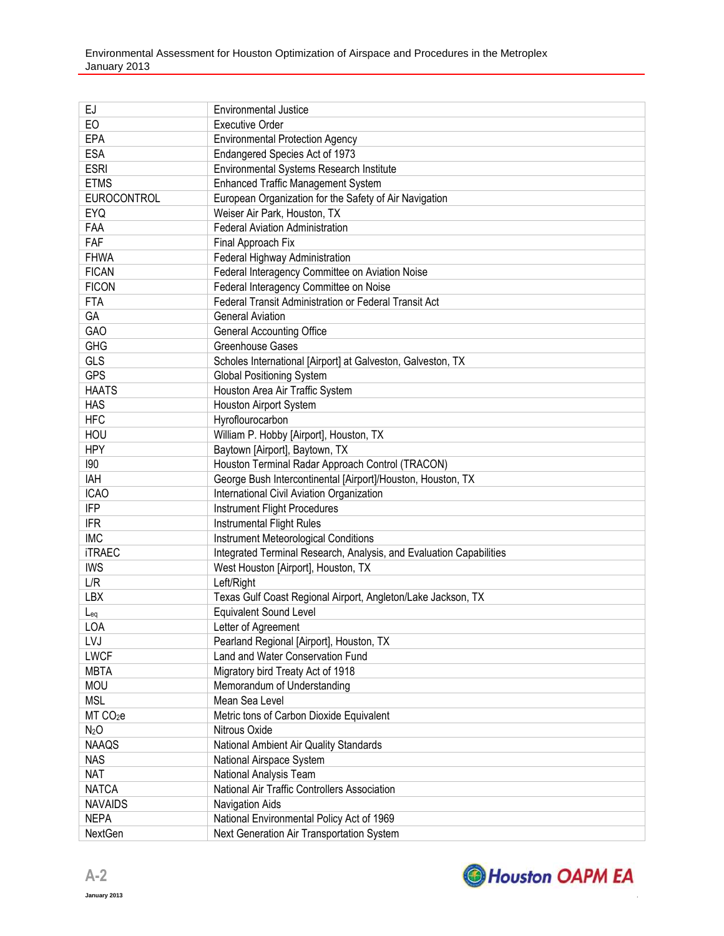| EJ                   | <b>Environmental Justice</b>                                        |
|----------------------|---------------------------------------------------------------------|
| EO                   | <b>Executive Order</b>                                              |
| EPA                  | <b>Environmental Protection Agency</b>                              |
| <b>ESA</b>           | Endangered Species Act of 1973                                      |
| <b>ESRI</b>          | Environmental Systems Research Institute                            |
| <b>ETMS</b>          | <b>Enhanced Traffic Management System</b>                           |
| <b>EUROCONTROL</b>   | European Organization for the Safety of Air Navigation              |
| EYQ                  | Weiser Air Park, Houston, TX                                        |
| FAA                  | <b>Federal Aviation Administration</b>                              |
| FAF                  | Final Approach Fix                                                  |
| <b>FHWA</b>          | Federal Highway Administration                                      |
| <b>FICAN</b>         | Federal Interagency Committee on Aviation Noise                     |
| <b>FICON</b>         | Federal Interagency Committee on Noise                              |
| <b>FTA</b>           | Federal Transit Administration or Federal Transit Act               |
| GA                   | <b>General Aviation</b>                                             |
| <b>GAO</b>           | <b>General Accounting Office</b>                                    |
| <b>GHG</b>           | Greenhouse Gases                                                    |
| <b>GLS</b>           | Scholes International [Airport] at Galveston, Galveston, TX         |
| <b>GPS</b>           | <b>Global Positioning System</b>                                    |
| <b>HAATS</b>         | Houston Area Air Traffic System                                     |
| <b>HAS</b>           | Houston Airport System                                              |
| <b>HFC</b>           | Hyroflourocarbon                                                    |
| HOU                  | William P. Hobby [Airport], Houston, TX                             |
| <b>HPY</b>           | Baytown [Airport], Baytown, TX                                      |
| 190                  | Houston Terminal Radar Approach Control (TRACON)                    |
| IAH                  | George Bush Intercontinental [Airport]/Houston, Houston, TX         |
| <b>ICAO</b>          | International Civil Aviation Organization                           |
| <b>IFP</b>           | <b>Instrument Flight Procedures</b>                                 |
| <b>IFR</b>           | <b>Instrumental Flight Rules</b>                                    |
| <b>IMC</b>           | Instrument Meteorological Conditions                                |
| <b>iTRAEC</b>        | Integrated Terminal Research, Analysis, and Evaluation Capabilities |
| <b>IWS</b>           | West Houston [Airport], Houston, TX                                 |
| L/R                  | Left/Right                                                          |
| <b>LBX</b>           | Texas Gulf Coast Regional Airport, Angleton/Lake Jackson, TX        |
| $L_{eq}$             | <b>Equivalent Sound Level</b>                                       |
| LOA                  | Letter of Agreement                                                 |
| LVJ                  | Pearland Regional [Airport], Houston, TX                            |
| <b>LWCF</b>          | Land and Water Conservation Fund                                    |
| <b>MBTA</b>          | Migratory bird Treaty Act of 1918                                   |
| <b>MOU</b>           | Memorandum of Understanding                                         |
| <b>MSL</b>           | Mean Sea Level                                                      |
| MT CO <sub>2</sub> e | Metric tons of Carbon Dioxide Equivalent                            |
| N <sub>2</sub> O     | Nitrous Oxide                                                       |
| <b>NAAQS</b>         | National Ambient Air Quality Standards                              |
|                      |                                                                     |
| <b>NAS</b>           | National Airspace System                                            |
| <b>NAT</b>           | National Analysis Team                                              |
| <b>NATCA</b>         | National Air Traffic Controllers Association                        |
| <b>NAVAIDS</b>       | Navigation Aids                                                     |
| <b>NEPA</b>          | National Environmental Policy Act of 1969                           |
| NextGen              | Next Generation Air Transportation System                           |

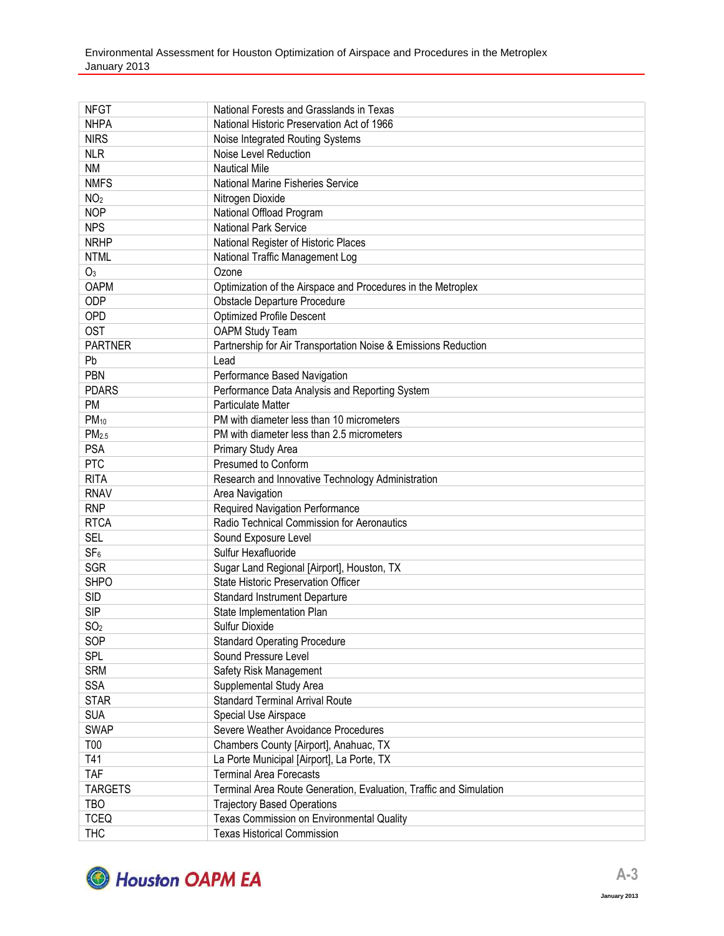| <b>NFGT</b>       | National Forests and Grasslands in Texas                           |
|-------------------|--------------------------------------------------------------------|
| <b>NHPA</b>       | National Historic Preservation Act of 1966                         |
| <b>NIRS</b>       | Noise Integrated Routing Systems                                   |
| <b>NLR</b>        | Noise Level Reduction                                              |
| <b>NM</b>         | <b>Nautical Mile</b>                                               |
| <b>NMFS</b>       | National Marine Fisheries Service                                  |
| NO <sub>2</sub>   | Nitrogen Dioxide                                                   |
| <b>NOP</b>        | National Offload Program                                           |
| <b>NPS</b>        | <b>National Park Service</b>                                       |
| <b>NRHP</b>       | National Register of Historic Places                               |
| <b>NTML</b>       | National Traffic Management Log                                    |
| O <sub>3</sub>    | Ozone                                                              |
| <b>OAPM</b>       | Optimization of the Airspace and Procedures in the Metroplex       |
| <b>ODP</b>        | Obstacle Departure Procedure                                       |
| OPD               | <b>Optimized Profile Descent</b>                                   |
| <b>OST</b>        | OAPM Study Team                                                    |
| <b>PARTNER</b>    | Partnership for Air Transportation Noise & Emissions Reduction     |
| Pb                | Lead                                                               |
| PBN               | Performance Based Navigation                                       |
| <b>PDARS</b>      | Performance Data Analysis and Reporting System                     |
| PM                | <b>Particulate Matter</b>                                          |
| $PM_{10}$         | PM with diameter less than 10 micrometers                          |
| PM <sub>2.5</sub> | PM with diameter less than 2.5 micrometers                         |
| <b>PSA</b>        | Primary Study Area                                                 |
| <b>PTC</b>        | Presumed to Conform                                                |
| <b>RITA</b>       | Research and Innovative Technology Administration                  |
| <b>RNAV</b>       | Area Navigation                                                    |
| <b>RNP</b>        | Required Navigation Performance                                    |
| <b>RTCA</b>       | Radio Technical Commission for Aeronautics                         |
| <b>SEL</b>        | Sound Exposure Level                                               |
| SF <sub>6</sub>   | Sulfur Hexafluoride                                                |
| <b>SGR</b>        | Sugar Land Regional [Airport], Houston, TX                         |
| <b>SHPO</b>       | State Historic Preservation Officer                                |
| <b>SID</b>        | <b>Standard Instrument Departure</b>                               |
| <b>SIP</b>        | State Implementation Plan                                          |
| SO <sub>2</sub>   | Sulfur Dioxide                                                     |
| SOP               | <b>Standard Operating Procedure</b>                                |
| <b>SPL</b>        | Sound Pressure Level                                               |
| <b>SRM</b>        | Safety Risk Management                                             |
| <b>SSA</b>        | Supplemental Study Area                                            |
| <b>STAR</b>       | <b>Standard Terminal Arrival Route</b>                             |
| <b>SUA</b>        | Special Use Airspace                                               |
| <b>SWAP</b>       | Severe Weather Avoidance Procedures                                |
| T00               | Chambers County [Airport], Anahuac, TX                             |
| T41               | La Porte Municipal [Airport], La Porte, TX                         |
| <b>TAF</b>        | <b>Terminal Area Forecasts</b>                                     |
| <b>TARGETS</b>    | Terminal Area Route Generation, Evaluation, Traffic and Simulation |
| <b>TBO</b>        | <b>Trajectory Based Operations</b>                                 |
| <b>TCEQ</b>       | Texas Commission on Environmental Quality                          |
| <b>THC</b>        | <b>Texas Historical Commission</b>                                 |
|                   |                                                                    |

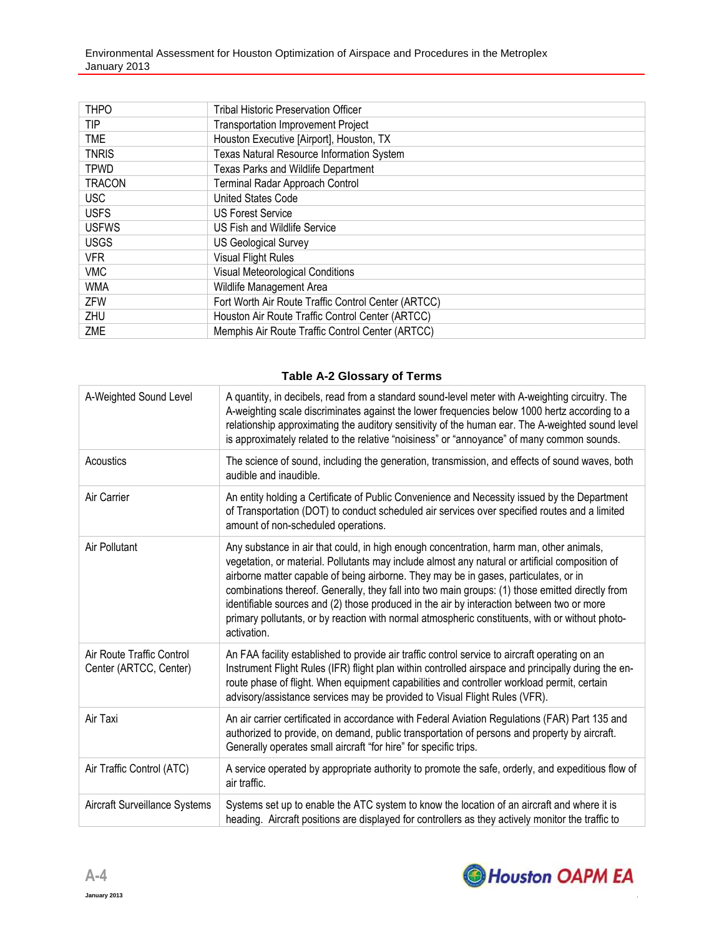| <b>THPO</b>   | <b>Tribal Historic Preservation Officer</b>         |
|---------------|-----------------------------------------------------|
| TIP           | <b>Transportation Improvement Project</b>           |
| <b>TME</b>    | Houston Executive [Airport], Houston, TX            |
| <b>TNRIS</b>  | Texas Natural Resource Information System           |
| <b>TPWD</b>   | Texas Parks and Wildlife Department                 |
| <b>TRACON</b> | Terminal Radar Approach Control                     |
| <b>USC</b>    | United States Code                                  |
| <b>USFS</b>   | <b>US Forest Service</b>                            |
| <b>USFWS</b>  | US Fish and Wildlife Service                        |
| <b>USGS</b>   | <b>US Geological Survey</b>                         |
| <b>VFR</b>    | <b>Visual Flight Rules</b>                          |
| <b>VMC</b>    | <b>Visual Meteorological Conditions</b>             |
| <b>WMA</b>    | Wildlife Management Area                            |
| ZFW           | Fort Worth Air Route Traffic Control Center (ARTCC) |
| ZHU           | Houston Air Route Traffic Control Center (ARTCC)    |
| <b>ZME</b>    | Memphis Air Route Traffic Control Center (ARTCC)    |

#### **Table A-2 Glossary of Terms**

| A-Weighted Sound Level                              | A quantity, in decibels, read from a standard sound-level meter with A-weighting circuitry. The<br>A-weighting scale discriminates against the lower frequencies below 1000 hertz according to a<br>relationship approximating the auditory sensitivity of the human ear. The A-weighted sound level<br>is approximately related to the relative "noisiness" or "annoyance" of many common sounds.                                                                                                                                                                                                    |
|-----------------------------------------------------|-------------------------------------------------------------------------------------------------------------------------------------------------------------------------------------------------------------------------------------------------------------------------------------------------------------------------------------------------------------------------------------------------------------------------------------------------------------------------------------------------------------------------------------------------------------------------------------------------------|
| Acoustics                                           | The science of sound, including the generation, transmission, and effects of sound waves, both<br>audible and inaudible.                                                                                                                                                                                                                                                                                                                                                                                                                                                                              |
| Air Carrier                                         | An entity holding a Certificate of Public Convenience and Necessity issued by the Department<br>of Transportation (DOT) to conduct scheduled air services over specified routes and a limited<br>amount of non-scheduled operations.                                                                                                                                                                                                                                                                                                                                                                  |
| Air Pollutant                                       | Any substance in air that could, in high enough concentration, harm man, other animals,<br>vegetation, or material. Pollutants may include almost any natural or artificial composition of<br>airborne matter capable of being airborne. They may be in gases, particulates, or in<br>combinations thereof. Generally, they fall into two main groups: (1) those emitted directly from<br>identifiable sources and (2) those produced in the air by interaction between two or more<br>primary pollutants, or by reaction with normal atmospheric constituents, with or without photo-<br>activation. |
| Air Route Traffic Control<br>Center (ARTCC, Center) | An FAA facility established to provide air traffic control service to aircraft operating on an<br>Instrument Flight Rules (IFR) flight plan within controlled airspace and principally during the en-<br>route phase of flight. When equipment capabilities and controller workload permit, certain<br>advisory/assistance services may be provided to Visual Flight Rules (VFR).                                                                                                                                                                                                                     |
| Air Taxi                                            | An air carrier certificated in accordance with Federal Aviation Regulations (FAR) Part 135 and<br>authorized to provide, on demand, public transportation of persons and property by aircraft.<br>Generally operates small aircraft "for hire" for specific trips.                                                                                                                                                                                                                                                                                                                                    |
| Air Traffic Control (ATC)                           | A service operated by appropriate authority to promote the safe, orderly, and expeditious flow of<br>air traffic.                                                                                                                                                                                                                                                                                                                                                                                                                                                                                     |
| Aircraft Surveillance Systems                       | Systems set up to enable the ATC system to know the location of an aircraft and where it is<br>heading. Aircraft positions are displayed for controllers as they actively monitor the traffic to                                                                                                                                                                                                                                                                                                                                                                                                      |

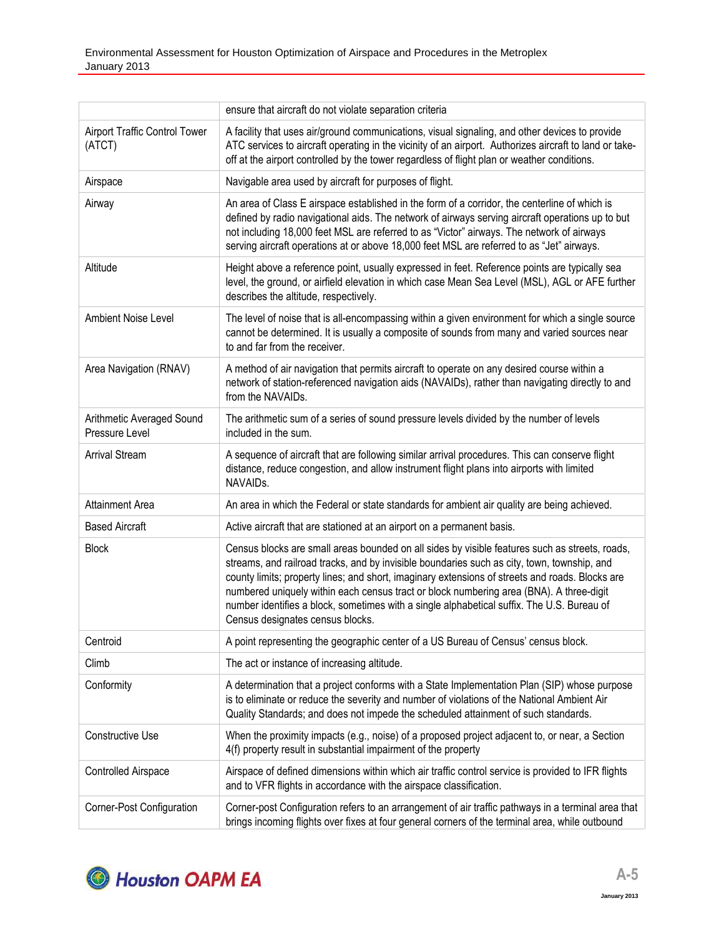|                                             | ensure that aircraft do not violate separation criteria                                                                                                                                                                                                                                                                                                                                                                                                                                                                       |
|---------------------------------------------|-------------------------------------------------------------------------------------------------------------------------------------------------------------------------------------------------------------------------------------------------------------------------------------------------------------------------------------------------------------------------------------------------------------------------------------------------------------------------------------------------------------------------------|
| Airport Traffic Control Tower<br>(ATCT)     | A facility that uses air/ground communications, visual signaling, and other devices to provide<br>ATC services to aircraft operating in the vicinity of an airport. Authorizes aircraft to land or take-<br>off at the airport controlled by the tower regardless of flight plan or weather conditions.                                                                                                                                                                                                                       |
| Airspace                                    | Navigable area used by aircraft for purposes of flight.                                                                                                                                                                                                                                                                                                                                                                                                                                                                       |
| Airway                                      | An area of Class E airspace established in the form of a corridor, the centerline of which is<br>defined by radio navigational aids. The network of airways serving aircraft operations up to but<br>not including 18,000 feet MSL are referred to as "Victor" airways. The network of airways<br>serving aircraft operations at or above 18,000 feet MSL are referred to as "Jet" airways.                                                                                                                                   |
| Altitude                                    | Height above a reference point, usually expressed in feet. Reference points are typically sea<br>level, the ground, or airfield elevation in which case Mean Sea Level (MSL), AGL or AFE further<br>describes the altitude, respectively.                                                                                                                                                                                                                                                                                     |
| Ambient Noise Level                         | The level of noise that is all-encompassing within a given environment for which a single source<br>cannot be determined. It is usually a composite of sounds from many and varied sources near<br>to and far from the receiver.                                                                                                                                                                                                                                                                                              |
| Area Navigation (RNAV)                      | A method of air navigation that permits aircraft to operate on any desired course within a<br>network of station-referenced navigation aids (NAVAIDs), rather than navigating directly to and<br>from the NAVAIDs.                                                                                                                                                                                                                                                                                                            |
| Arithmetic Averaged Sound<br>Pressure Level | The arithmetic sum of a series of sound pressure levels divided by the number of levels<br>included in the sum.                                                                                                                                                                                                                                                                                                                                                                                                               |
| <b>Arrival Stream</b>                       | A sequence of aircraft that are following similar arrival procedures. This can conserve flight<br>distance, reduce congestion, and allow instrument flight plans into airports with limited<br>NAVAIDs.                                                                                                                                                                                                                                                                                                                       |
| <b>Attainment Area</b>                      | An area in which the Federal or state standards for ambient air quality are being achieved.                                                                                                                                                                                                                                                                                                                                                                                                                                   |
| <b>Based Aircraft</b>                       | Active aircraft that are stationed at an airport on a permanent basis.                                                                                                                                                                                                                                                                                                                                                                                                                                                        |
| <b>Block</b>                                | Census blocks are small areas bounded on all sides by visible features such as streets, roads,<br>streams, and railroad tracks, and by invisible boundaries such as city, town, township, and<br>county limits; property lines; and short, imaginary extensions of streets and roads. Blocks are<br>numbered uniquely within each census tract or block numbering area (BNA). A three-digit<br>number identifies a block, sometimes with a single alphabetical suffix. The U.S. Bureau of<br>Census designates census blocks. |
| Centroid                                    | A point representing the geographic center of a US Bureau of Census' census block.                                                                                                                                                                                                                                                                                                                                                                                                                                            |
| Climb                                       | The act or instance of increasing altitude.                                                                                                                                                                                                                                                                                                                                                                                                                                                                                   |
| Conformity                                  | A determination that a project conforms with a State Implementation Plan (SIP) whose purpose<br>is to eliminate or reduce the severity and number of violations of the National Ambient Air<br>Quality Standards; and does not impede the scheduled attainment of such standards.                                                                                                                                                                                                                                             |
| <b>Constructive Use</b>                     | When the proximity impacts (e.g., noise) of a proposed project adjacent to, or near, a Section<br>4(f) property result in substantial impairment of the property                                                                                                                                                                                                                                                                                                                                                              |
| <b>Controlled Airspace</b>                  | Airspace of defined dimensions within which air traffic control service is provided to IFR flights<br>and to VFR flights in accordance with the airspace classification.                                                                                                                                                                                                                                                                                                                                                      |
| Corner-Post Configuration                   | Corner-post Configuration refers to an arrangement of air traffic pathways in a terminal area that<br>brings incoming flights over fixes at four general corners of the terminal area, while outbound                                                                                                                                                                                                                                                                                                                         |

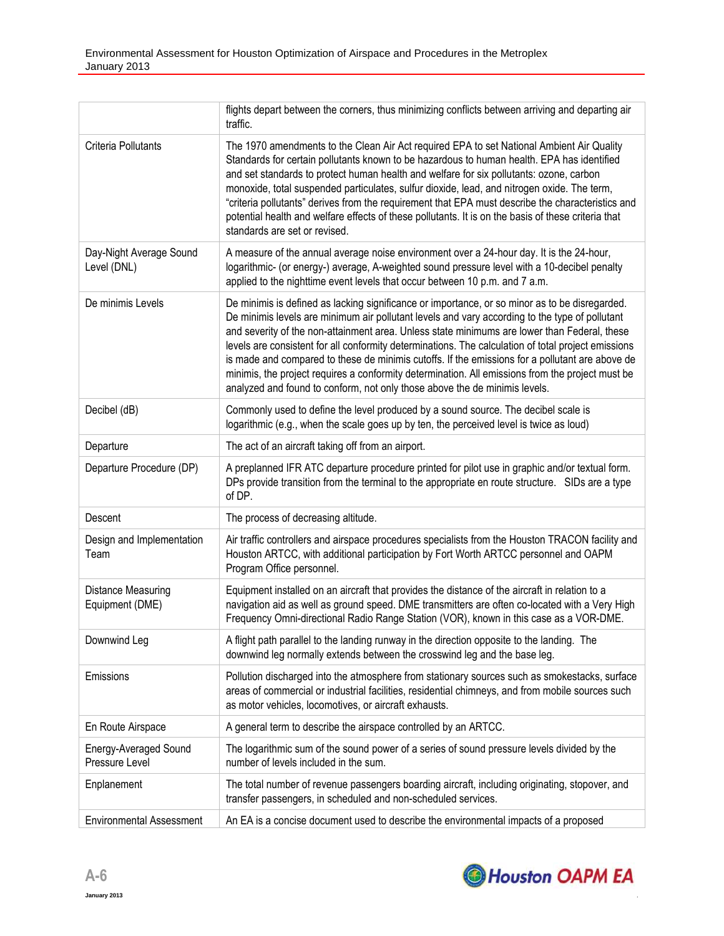|                                         | flights depart between the corners, thus minimizing conflicts between arriving and departing air<br>traffic.                                                                                                                                                                                                                                                                                                                                                                                                                                                                                                                                                                                 |
|-----------------------------------------|----------------------------------------------------------------------------------------------------------------------------------------------------------------------------------------------------------------------------------------------------------------------------------------------------------------------------------------------------------------------------------------------------------------------------------------------------------------------------------------------------------------------------------------------------------------------------------------------------------------------------------------------------------------------------------------------|
| Criteria Pollutants                     | The 1970 amendments to the Clean Air Act required EPA to set National Ambient Air Quality<br>Standards for certain pollutants known to be hazardous to human health. EPA has identified<br>and set standards to protect human health and welfare for six pollutants: ozone, carbon<br>monoxide, total suspended particulates, sulfur dioxide, lead, and nitrogen oxide. The term,<br>"criteria pollutants" derives from the requirement that EPA must describe the characteristics and<br>potential health and welfare effects of these pollutants. It is on the basis of these criteria that<br>standards are set or revised.                                                               |
| Day-Night Average Sound<br>Level (DNL)  | A measure of the annual average noise environment over a 24-hour day. It is the 24-hour,<br>logarithmic- (or energy-) average, A-weighted sound pressure level with a 10-decibel penalty<br>applied to the nighttime event levels that occur between 10 p.m. and 7 a.m.                                                                                                                                                                                                                                                                                                                                                                                                                      |
| De minimis Levels                       | De minimis is defined as lacking significance or importance, or so minor as to be disregarded.<br>De minimis levels are minimum air pollutant levels and vary according to the type of pollutant<br>and severity of the non-attainment area. Unless state minimums are lower than Federal, these<br>levels are consistent for all conformity determinations. The calculation of total project emissions<br>is made and compared to these de minimis cutoffs. If the emissions for a pollutant are above de<br>minimis, the project requires a conformity determination. All emissions from the project must be<br>analyzed and found to conform, not only those above the de minimis levels. |
| Decibel (dB)                            | Commonly used to define the level produced by a sound source. The decibel scale is<br>logarithmic (e.g., when the scale goes up by ten, the perceived level is twice as loud)                                                                                                                                                                                                                                                                                                                                                                                                                                                                                                                |
| Departure                               | The act of an aircraft taking off from an airport.                                                                                                                                                                                                                                                                                                                                                                                                                                                                                                                                                                                                                                           |
| Departure Procedure (DP)                | A preplanned IFR ATC departure procedure printed for pilot use in graphic and/or textual form.<br>DPs provide transition from the terminal to the appropriate en route structure. SIDs are a type<br>of DP.                                                                                                                                                                                                                                                                                                                                                                                                                                                                                  |
| Descent                                 | The process of decreasing altitude.                                                                                                                                                                                                                                                                                                                                                                                                                                                                                                                                                                                                                                                          |
| Design and Implementation<br>Team       | Air traffic controllers and airspace procedures specialists from the Houston TRACON facility and<br>Houston ARTCC, with additional participation by Fort Worth ARTCC personnel and OAPM<br>Program Office personnel.                                                                                                                                                                                                                                                                                                                                                                                                                                                                         |
| Distance Measuring<br>Equipment (DME)   | Equipment installed on an aircraft that provides the distance of the aircraft in relation to a<br>navigation aid as well as ground speed. DME transmitters are often co-located with a Very High<br>Frequency Omni-directional Radio Range Station (VOR), known in this case as a VOR-DME.                                                                                                                                                                                                                                                                                                                                                                                                   |
| Downwind Leg                            | A flight path parallel to the landing runway in the direction opposite to the landing. The<br>downwind leg normally extends between the crosswind leg and the base leg.                                                                                                                                                                                                                                                                                                                                                                                                                                                                                                                      |
| Emissions                               | Pollution discharged into the atmosphere from stationary sources such as smokestacks, surface<br>areas of commercial or industrial facilities, residential chimneys, and from mobile sources such<br>as motor vehicles, locomotives, or aircraft exhausts.                                                                                                                                                                                                                                                                                                                                                                                                                                   |
| En Route Airspace                       | A general term to describe the airspace controlled by an ARTCC.                                                                                                                                                                                                                                                                                                                                                                                                                                                                                                                                                                                                                              |
| Energy-Averaged Sound<br>Pressure Level | The logarithmic sum of the sound power of a series of sound pressure levels divided by the<br>number of levels included in the sum.                                                                                                                                                                                                                                                                                                                                                                                                                                                                                                                                                          |
| Enplanement                             | The total number of revenue passengers boarding aircraft, including originating, stopover, and<br>transfer passengers, in scheduled and non-scheduled services.                                                                                                                                                                                                                                                                                                                                                                                                                                                                                                                              |
| <b>Environmental Assessment</b>         | An EA is a concise document used to describe the environmental impacts of a proposed                                                                                                                                                                                                                                                                                                                                                                                                                                                                                                                                                                                                         |

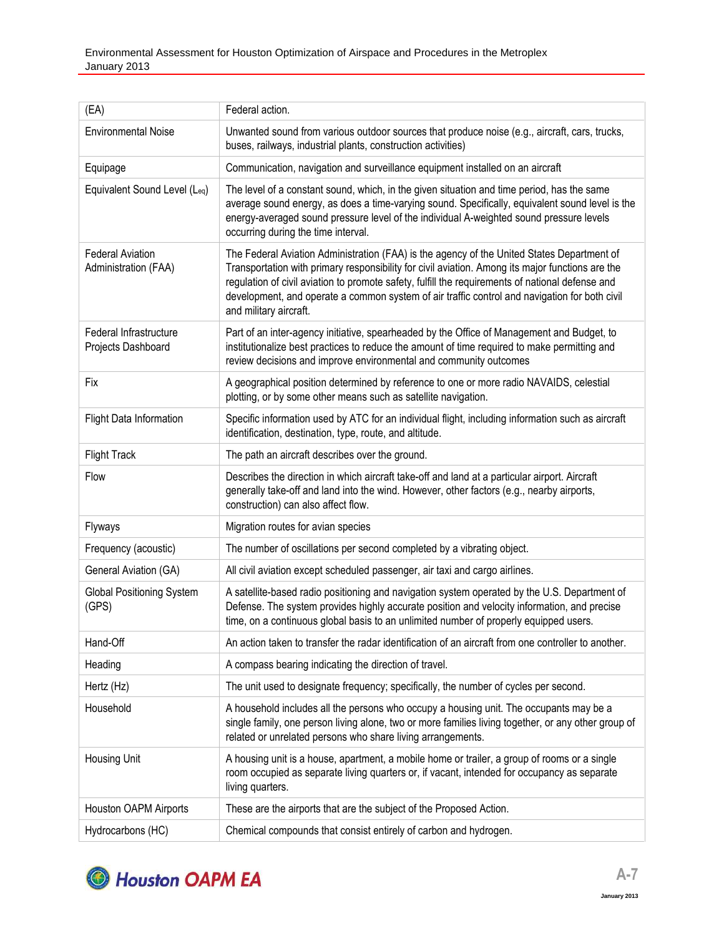| (EA)                                            | Federal action.                                                                                                                                                                                                                                                                                                                                                                                                               |
|-------------------------------------------------|-------------------------------------------------------------------------------------------------------------------------------------------------------------------------------------------------------------------------------------------------------------------------------------------------------------------------------------------------------------------------------------------------------------------------------|
| <b>Environmental Noise</b>                      | Unwanted sound from various outdoor sources that produce noise (e.g., aircraft, cars, trucks,<br>buses, railways, industrial plants, construction activities)                                                                                                                                                                                                                                                                 |
| Equipage                                        | Communication, navigation and surveillance equipment installed on an aircraft                                                                                                                                                                                                                                                                                                                                                 |
| Equivalent Sound Level (Leq)                    | The level of a constant sound, which, in the given situation and time period, has the same<br>average sound energy, as does a time-varying sound. Specifically, equivalent sound level is the<br>energy-averaged sound pressure level of the individual A-weighted sound pressure levels<br>occurring during the time interval.                                                                                               |
| <b>Federal Aviation</b><br>Administration (FAA) | The Federal Aviation Administration (FAA) is the agency of the United States Department of<br>Transportation with primary responsibility for civil aviation. Among its major functions are the<br>regulation of civil aviation to promote safety, fulfill the requirements of national defense and<br>development, and operate a common system of air traffic control and navigation for both civil<br>and military aircraft. |
| Federal Infrastructure<br>Projects Dashboard    | Part of an inter-agency initiative, spearheaded by the Office of Management and Budget, to<br>institutionalize best practices to reduce the amount of time required to make permitting and<br>review decisions and improve environmental and community outcomes                                                                                                                                                               |
| Fix                                             | A geographical position determined by reference to one or more radio NAVAIDS, celestial<br>plotting, or by some other means such as satellite navigation.                                                                                                                                                                                                                                                                     |
| Flight Data Information                         | Specific information used by ATC for an individual flight, including information such as aircraft<br>identification, destination, type, route, and altitude.                                                                                                                                                                                                                                                                  |
| <b>Flight Track</b>                             | The path an aircraft describes over the ground.                                                                                                                                                                                                                                                                                                                                                                               |
| Flow                                            | Describes the direction in which aircraft take-off and land at a particular airport. Aircraft<br>generally take-off and land into the wind. However, other factors (e.g., nearby airports,<br>construction) can also affect flow.                                                                                                                                                                                             |
| Flyways                                         | Migration routes for avian species                                                                                                                                                                                                                                                                                                                                                                                            |
| Frequency (acoustic)                            | The number of oscillations per second completed by a vibrating object.                                                                                                                                                                                                                                                                                                                                                        |
| General Aviation (GA)                           | All civil aviation except scheduled passenger, air taxi and cargo airlines.                                                                                                                                                                                                                                                                                                                                                   |
| <b>Global Positioning System</b><br>(GPS)       | A satellite-based radio positioning and navigation system operated by the U.S. Department of<br>Defense. The system provides highly accurate position and velocity information, and precise<br>time, on a continuous global basis to an unlimited number of properly equipped users.                                                                                                                                          |
| Hand-Off                                        | An action taken to transfer the radar identification of an aircraft from one controller to another.                                                                                                                                                                                                                                                                                                                           |
| Heading                                         | A compass bearing indicating the direction of travel.                                                                                                                                                                                                                                                                                                                                                                         |
| Hertz (Hz)                                      | The unit used to designate frequency; specifically, the number of cycles per second.                                                                                                                                                                                                                                                                                                                                          |
| Household                                       | A household includes all the persons who occupy a housing unit. The occupants may be a<br>single family, one person living alone, two or more families living together, or any other group of<br>related or unrelated persons who share living arrangements.                                                                                                                                                                  |
| Housing Unit                                    | A housing unit is a house, apartment, a mobile home or trailer, a group of rooms or a single<br>room occupied as separate living quarters or, if vacant, intended for occupancy as separate<br>living quarters.                                                                                                                                                                                                               |
| Houston OAPM Airports                           | These are the airports that are the subject of the Proposed Action.                                                                                                                                                                                                                                                                                                                                                           |
| Hydrocarbons (HC)                               | Chemical compounds that consist entirely of carbon and hydrogen.                                                                                                                                                                                                                                                                                                                                                              |

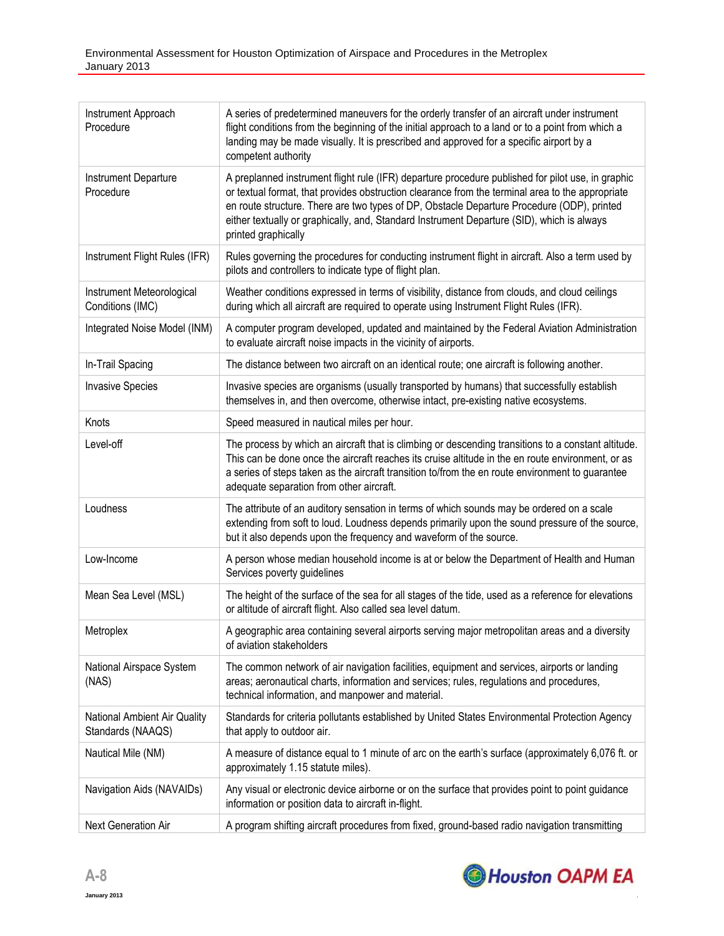| Instrument Approach<br>Procedure                  | A series of predetermined maneuvers for the orderly transfer of an aircraft under instrument<br>flight conditions from the beginning of the initial approach to a land or to a point from which a<br>landing may be made visually. It is prescribed and approved for a specific airport by a<br>competent authority                                                                                                      |
|---------------------------------------------------|--------------------------------------------------------------------------------------------------------------------------------------------------------------------------------------------------------------------------------------------------------------------------------------------------------------------------------------------------------------------------------------------------------------------------|
| <b>Instrument Departure</b><br>Procedure          | A preplanned instrument flight rule (IFR) departure procedure published for pilot use, in graphic<br>or textual format, that provides obstruction clearance from the terminal area to the appropriate<br>en route structure. There are two types of DP, Obstacle Departure Procedure (ODP), printed<br>either textually or graphically, and, Standard Instrument Departure (SID), which is always<br>printed graphically |
| Instrument Flight Rules (IFR)                     | Rules governing the procedures for conducting instrument flight in aircraft. Also a term used by<br>pilots and controllers to indicate type of flight plan.                                                                                                                                                                                                                                                              |
| Instrument Meteorological<br>Conditions (IMC)     | Weather conditions expressed in terms of visibility, distance from clouds, and cloud ceilings<br>during which all aircraft are required to operate using Instrument Flight Rules (IFR).                                                                                                                                                                                                                                  |
| Integrated Noise Model (INM)                      | A computer program developed, updated and maintained by the Federal Aviation Administration<br>to evaluate aircraft noise impacts in the vicinity of airports.                                                                                                                                                                                                                                                           |
| In-Trail Spacing                                  | The distance between two aircraft on an identical route; one aircraft is following another.                                                                                                                                                                                                                                                                                                                              |
| <b>Invasive Species</b>                           | Invasive species are organisms (usually transported by humans) that successfully establish<br>themselves in, and then overcome, otherwise intact, pre-existing native ecosystems.                                                                                                                                                                                                                                        |
| Knots                                             | Speed measured in nautical miles per hour.                                                                                                                                                                                                                                                                                                                                                                               |
| Level-off                                         | The process by which an aircraft that is climbing or descending transitions to a constant altitude.<br>This can be done once the aircraft reaches its cruise altitude in the en route environment, or as<br>a series of steps taken as the aircraft transition to/from the en route environment to guarantee<br>adequate separation from other aircraft.                                                                 |
| Loudness                                          | The attribute of an auditory sensation in terms of which sounds may be ordered on a scale<br>extending from soft to loud. Loudness depends primarily upon the sound pressure of the source,<br>but it also depends upon the frequency and waveform of the source.                                                                                                                                                        |
| Low-Income                                        | A person whose median household income is at or below the Department of Health and Human<br>Services poverty guidelines                                                                                                                                                                                                                                                                                                  |
| Mean Sea Level (MSL)                              | The height of the surface of the sea for all stages of the tide, used as a reference for elevations<br>or altitude of aircraft flight. Also called sea level datum.                                                                                                                                                                                                                                                      |
| Metroplex                                         | A geographic area containing several airports serving major metropolitan areas and a diversity<br>of aviation stakeholders                                                                                                                                                                                                                                                                                               |
| National Airspace System<br>(NAS)                 | The common network of air navigation facilities, equipment and services, airports or landing<br>areas; aeronautical charts, information and services; rules, regulations and procedures,<br>technical information, and manpower and material.                                                                                                                                                                            |
| National Ambient Air Quality<br>Standards (NAAQS) | Standards for criteria pollutants established by United States Environmental Protection Agency<br>that apply to outdoor air.                                                                                                                                                                                                                                                                                             |
| Nautical Mile (NM)                                | A measure of distance equal to 1 minute of arc on the earth's surface (approximately 6,076 ft. or<br>approximately 1.15 statute miles).                                                                                                                                                                                                                                                                                  |
| Navigation Aids (NAVAIDs)                         | Any visual or electronic device airborne or on the surface that provides point to point guidance<br>information or position data to aircraft in-flight.                                                                                                                                                                                                                                                                  |
| Next Generation Air                               | A program shifting aircraft procedures from fixed, ground-based radio navigation transmitting                                                                                                                                                                                                                                                                                                                            |

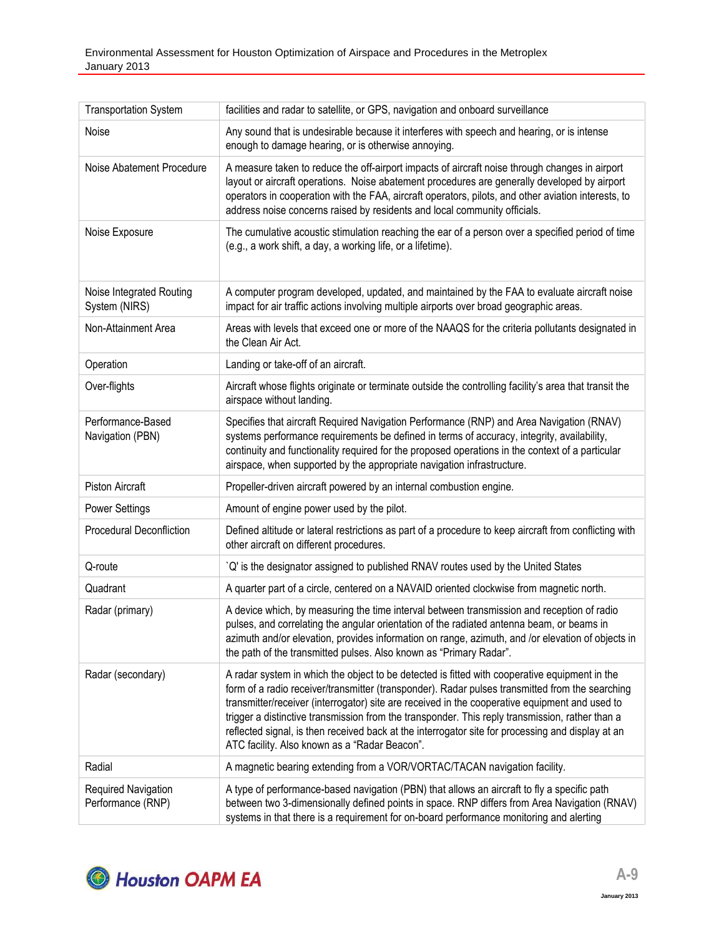| <b>Transportation System</b>              | facilities and radar to satellite, or GPS, navigation and onboard surveillance                                                                                                                                                                                                                                                                                                                                                                                                                                                                              |
|-------------------------------------------|-------------------------------------------------------------------------------------------------------------------------------------------------------------------------------------------------------------------------------------------------------------------------------------------------------------------------------------------------------------------------------------------------------------------------------------------------------------------------------------------------------------------------------------------------------------|
| Noise                                     | Any sound that is undesirable because it interferes with speech and hearing, or is intense<br>enough to damage hearing, or is otherwise annoying.                                                                                                                                                                                                                                                                                                                                                                                                           |
| Noise Abatement Procedure                 | A measure taken to reduce the off-airport impacts of aircraft noise through changes in airport<br>layout or aircraft operations. Noise abatement procedures are generally developed by airport<br>operators in cooperation with the FAA, aircraft operators, pilots, and other aviation interests, to<br>address noise concerns raised by residents and local community officials.                                                                                                                                                                          |
| Noise Exposure                            | The cumulative acoustic stimulation reaching the ear of a person over a specified period of time<br>(e.g., a work shift, a day, a working life, or a lifetime).                                                                                                                                                                                                                                                                                                                                                                                             |
| Noise Integrated Routing<br>System (NIRS) | A computer program developed, updated, and maintained by the FAA to evaluate aircraft noise<br>impact for air traffic actions involving multiple airports over broad geographic areas.                                                                                                                                                                                                                                                                                                                                                                      |
| Non-Attainment Area                       | Areas with levels that exceed one or more of the NAAQS for the criteria pollutants designated in<br>the Clean Air Act.                                                                                                                                                                                                                                                                                                                                                                                                                                      |
| Operation                                 | Landing or take-off of an aircraft.                                                                                                                                                                                                                                                                                                                                                                                                                                                                                                                         |
| Over-flights                              | Aircraft whose flights originate or terminate outside the controlling facility's area that transit the<br>airspace without landing.                                                                                                                                                                                                                                                                                                                                                                                                                         |
| Performance-Based<br>Navigation (PBN)     | Specifies that aircraft Required Navigation Performance (RNP) and Area Navigation (RNAV)<br>systems performance requirements be defined in terms of accuracy, integrity, availability,<br>continuity and functionality required for the proposed operations in the context of a particular<br>airspace, when supported by the appropriate navigation infrastructure.                                                                                                                                                                                        |
| <b>Piston Aircraft</b>                    | Propeller-driven aircraft powered by an internal combustion engine.                                                                                                                                                                                                                                                                                                                                                                                                                                                                                         |
| <b>Power Settings</b>                     | Amount of engine power used by the pilot.                                                                                                                                                                                                                                                                                                                                                                                                                                                                                                                   |
| <b>Procedural Deconfliction</b>           | Defined altitude or lateral restrictions as part of a procedure to keep aircraft from conflicting with<br>other aircraft on different procedures.                                                                                                                                                                                                                                                                                                                                                                                                           |
| Q-route                                   | `Q' is the designator assigned to published RNAV routes used by the United States                                                                                                                                                                                                                                                                                                                                                                                                                                                                           |
| Quadrant                                  | A quarter part of a circle, centered on a NAVAID oriented clockwise from magnetic north.                                                                                                                                                                                                                                                                                                                                                                                                                                                                    |
| Radar (primary)                           | A device which, by measuring the time interval between transmission and reception of radio<br>pulses, and correlating the angular orientation of the radiated antenna beam, or beams in<br>azimuth and/or elevation, provides information on range, azimuth, and /or elevation of objects in<br>the path of the transmitted pulses. Also known as "Primary Radar".                                                                                                                                                                                          |
| Radar (secondary)                         | A radar system in which the object to be detected is fitted with cooperative equipment in the<br>form of a radio receiver/transmitter (transponder). Radar pulses transmitted from the searching<br>transmitter/receiver (interrogator) site are received in the cooperative equipment and used to<br>trigger a distinctive transmission from the transponder. This reply transmission, rather than a<br>reflected signal, is then received back at the interrogator site for processing and display at an<br>ATC facility. Also known as a "Radar Beacon". |
| Radial                                    | A magnetic bearing extending from a VOR/VORTAC/TACAN navigation facility.                                                                                                                                                                                                                                                                                                                                                                                                                                                                                   |
| Required Navigation<br>Performance (RNP)  | A type of performance-based navigation (PBN) that allows an aircraft to fly a specific path<br>between two 3-dimensionally defined points in space. RNP differs from Area Navigation (RNAV)<br>systems in that there is a requirement for on-board performance monitoring and alerting                                                                                                                                                                                                                                                                      |

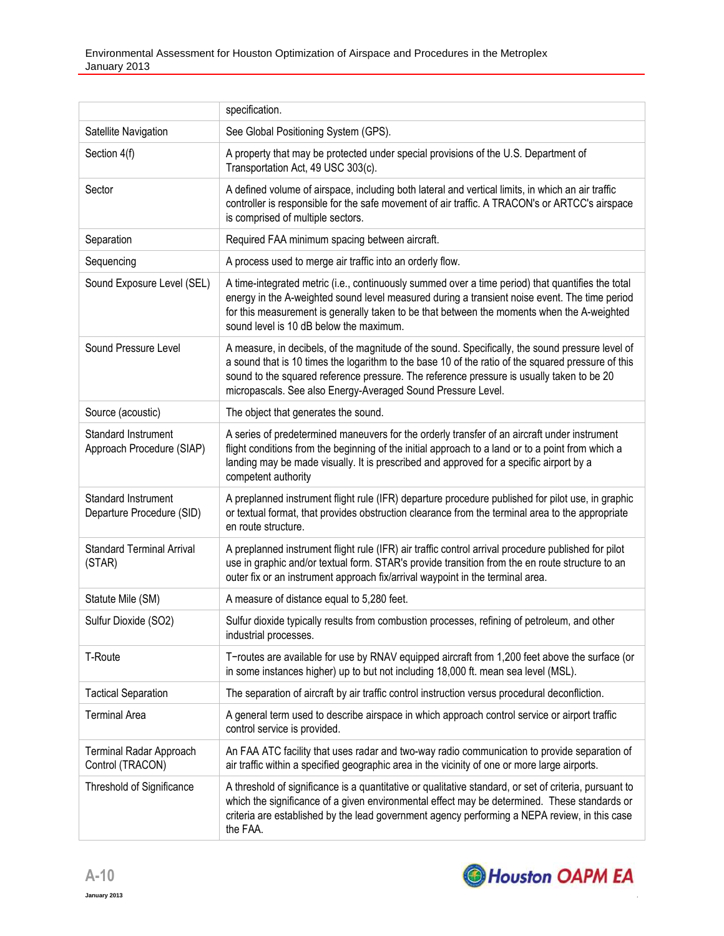|                                                    | specification.                                                                                                                                                                                                                                                                                                                                                      |
|----------------------------------------------------|---------------------------------------------------------------------------------------------------------------------------------------------------------------------------------------------------------------------------------------------------------------------------------------------------------------------------------------------------------------------|
| Satellite Navigation                               | See Global Positioning System (GPS).                                                                                                                                                                                                                                                                                                                                |
| Section 4(f)                                       | A property that may be protected under special provisions of the U.S. Department of<br>Transportation Act, 49 USC 303(c).                                                                                                                                                                                                                                           |
| Sector                                             | A defined volume of airspace, including both lateral and vertical limits, in which an air traffic<br>controller is responsible for the safe movement of air traffic. A TRACON's or ARTCC's airspace<br>is comprised of multiple sectors.                                                                                                                            |
| Separation                                         | Required FAA minimum spacing between aircraft.                                                                                                                                                                                                                                                                                                                      |
| Sequencing                                         | A process used to merge air traffic into an orderly flow.                                                                                                                                                                                                                                                                                                           |
| Sound Exposure Level (SEL)                         | A time-integrated metric (i.e., continuously summed over a time period) that quantifies the total<br>energy in the A-weighted sound level measured during a transient noise event. The time period<br>for this measurement is generally taken to be that between the moments when the A-weighted<br>sound level is 10 dB below the maximum.                         |
| Sound Pressure Level                               | A measure, in decibels, of the magnitude of the sound. Specifically, the sound pressure level of<br>a sound that is 10 times the logarithm to the base 10 of the ratio of the squared pressure of this<br>sound to the squared reference pressure. The reference pressure is usually taken to be 20<br>micropascals. See also Energy-Averaged Sound Pressure Level. |
| Source (acoustic)                                  | The object that generates the sound.                                                                                                                                                                                                                                                                                                                                |
| Standard Instrument<br>Approach Procedure (SIAP)   | A series of predetermined maneuvers for the orderly transfer of an aircraft under instrument<br>flight conditions from the beginning of the initial approach to a land or to a point from which a<br>landing may be made visually. It is prescribed and approved for a specific airport by a<br>competent authority                                                 |
| Standard Instrument<br>Departure Procedure (SID)   | A preplanned instrument flight rule (IFR) departure procedure published for pilot use, in graphic<br>or textual format, that provides obstruction clearance from the terminal area to the appropriate<br>en route structure.                                                                                                                                        |
| <b>Standard Terminal Arrival</b><br>(STAR)         | A preplanned instrument flight rule (IFR) air traffic control arrival procedure published for pilot<br>use in graphic and/or textual form. STAR's provide transition from the en route structure to an<br>outer fix or an instrument approach fix/arrival waypoint in the terminal area.                                                                            |
| Statute Mile (SM)                                  | A measure of distance equal to 5,280 feet.                                                                                                                                                                                                                                                                                                                          |
| Sulfur Dioxide (SO2)                               | Sulfur dioxide typically results from combustion processes, refining of petroleum, and other<br>industrial processes.                                                                                                                                                                                                                                               |
| T-Route                                            | T-routes are available for use by RNAV equipped aircraft from 1,200 feet above the surface (or<br>in some instances higher) up to but not including 18,000 ft. mean sea level (MSL).                                                                                                                                                                                |
| <b>Tactical Separation</b>                         | The separation of aircraft by air traffic control instruction versus procedural deconfliction.                                                                                                                                                                                                                                                                      |
| <b>Terminal Area</b>                               | A general term used to describe airspace in which approach control service or airport traffic<br>control service is provided.                                                                                                                                                                                                                                       |
| <b>Terminal Radar Approach</b><br>Control (TRACON) | An FAA ATC facility that uses radar and two-way radio communication to provide separation of<br>air traffic within a specified geographic area in the vicinity of one or more large airports.                                                                                                                                                                       |
| Threshold of Significance                          | A threshold of significance is a quantitative or qualitative standard, or set of criteria, pursuant to<br>which the significance of a given environmental effect may be determined. These standards or<br>criteria are established by the lead government agency performing a NEPA review, in this case<br>the FAA.                                                 |

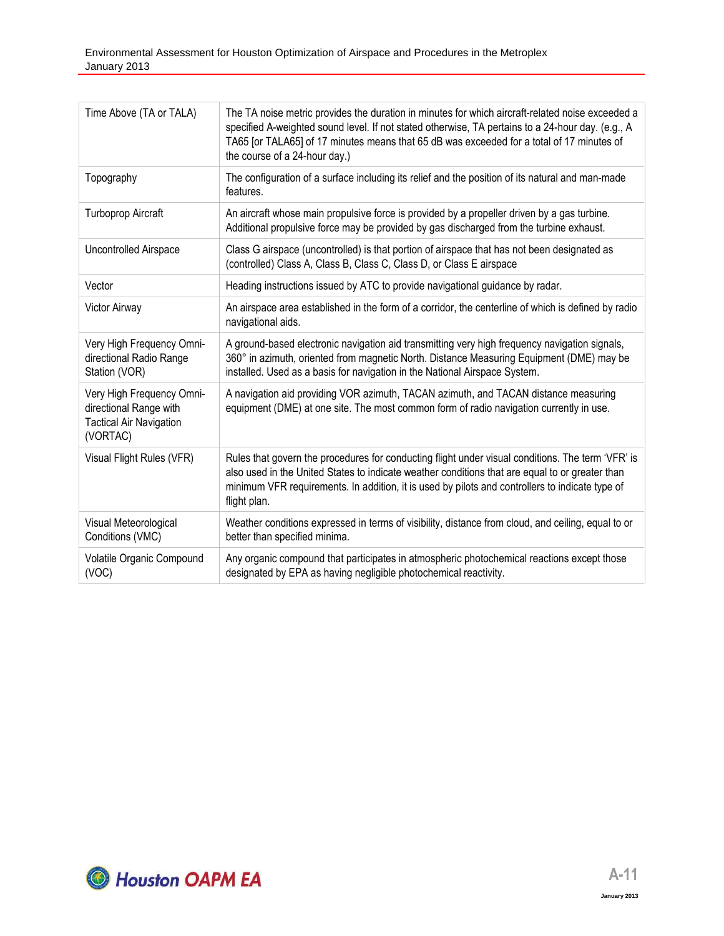| Time Above (TA or TALA)                                                                           | The TA noise metric provides the duration in minutes for which aircraft-related noise exceeded a<br>specified A-weighted sound level. If not stated otherwise, TA pertains to a 24-hour day. (e.g., A<br>TA65 [or TALA65] of 17 minutes means that 65 dB was exceeded for a total of 17 minutes of<br>the course of a 24-hour day.) |
|---------------------------------------------------------------------------------------------------|-------------------------------------------------------------------------------------------------------------------------------------------------------------------------------------------------------------------------------------------------------------------------------------------------------------------------------------|
| Topography                                                                                        | The configuration of a surface including its relief and the position of its natural and man-made<br>features.                                                                                                                                                                                                                       |
| <b>Turboprop Aircraft</b>                                                                         | An aircraft whose main propulsive force is provided by a propeller driven by a gas turbine.<br>Additional propulsive force may be provided by gas discharged from the turbine exhaust.                                                                                                                                              |
| Uncontrolled Airspace                                                                             | Class G airspace (uncontrolled) is that portion of airspace that has not been designated as<br>(controlled) Class A, Class B, Class C, Class D, or Class E airspace                                                                                                                                                                 |
| Vector                                                                                            | Heading instructions issued by ATC to provide navigational guidance by radar.                                                                                                                                                                                                                                                       |
| Victor Airway                                                                                     | An airspace area established in the form of a corridor, the centerline of which is defined by radio<br>navigational aids.                                                                                                                                                                                                           |
| Very High Frequency Omni-<br>directional Radio Range<br>Station (VOR)                             | A ground-based electronic navigation aid transmitting very high frequency navigation signals,<br>360° in azimuth, oriented from magnetic North. Distance Measuring Equipment (DME) may be<br>installed. Used as a basis for navigation in the National Airspace System.                                                             |
| Very High Frequency Omni-<br>directional Range with<br><b>Tactical Air Navigation</b><br>(VORTAC) | A navigation aid providing VOR azimuth, TACAN azimuth, and TACAN distance measuring<br>equipment (DME) at one site. The most common form of radio navigation currently in use.                                                                                                                                                      |
| Visual Flight Rules (VFR)                                                                         | Rules that govern the procedures for conducting flight under visual conditions. The term 'VFR' is<br>also used in the United States to indicate weather conditions that are equal to or greater than<br>minimum VFR requirements. In addition, it is used by pilots and controllers to indicate type of<br>flight plan.             |
| Visual Meteorological<br>Conditions (VMC)                                                         | Weather conditions expressed in terms of visibility, distance from cloud, and ceiling, equal to or<br>better than specified minima.                                                                                                                                                                                                 |
| Volatile Organic Compound<br>(VOC)                                                                | Any organic compound that participates in atmospheric photochemical reactions except those<br>designated by EPA as having negligible photochemical reactivity.                                                                                                                                                                      |

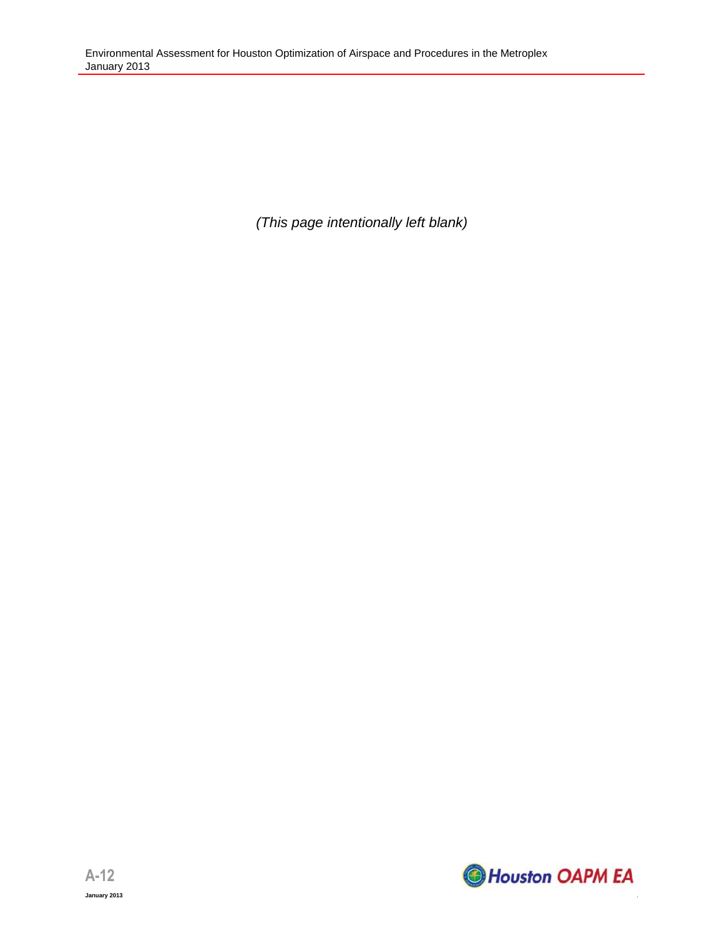*(This page intentionally left blank)*

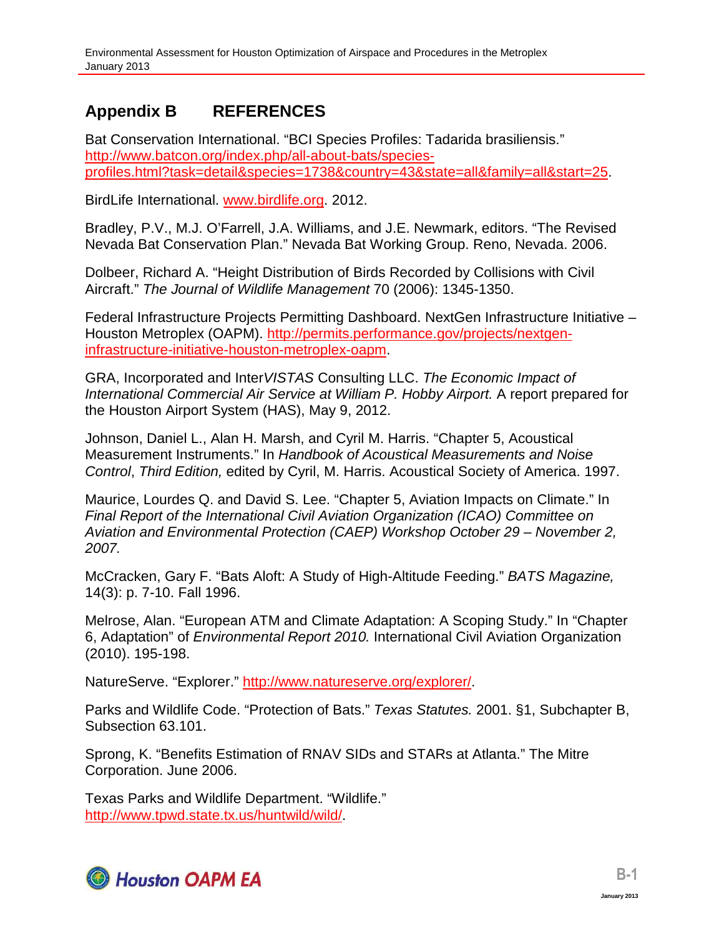# **Appendix B REFERENCES**

Bat Conservation International. "BCI Species Profiles: Tadarida brasiliensis." http://www.batcon.org/index.php/all-about-bats/speciesprofiles.html?task=detail&species=1738&country=43&state=all&family=all&start=25.

BirdLife International. www.birdlife.org. 2012.

Bradley, P.V., M.J. O'Farrell, J.A. Williams, and J.E. Newmark, editors. "The Revised Nevada Bat Conservation Plan." Nevada Bat Working Group. Reno, Nevada. 2006.

Dolbeer, Richard A. "Height Distribution of Birds Recorded by Collisions with Civil Aircraft." *The Journal of Wildlife Management* 70 (2006): 1345-1350.

Federal Infrastructure Projects Permitting Dashboard. NextGen Infrastructure Initiative – Houston Metroplex (OAPM). http://permits.performance.gov/projects/nextgeninfrastructure-initiative-houston-metroplex-oapm.

GRA, Incorporated and Inter*VISTAS* Consulting LLC. *The Economic Impact of International Commercial Air Service at William P. Hobby Airport.* A report prepared for the Houston Airport System (HAS), May 9, 2012.

Johnson, Daniel L., Alan H. Marsh, and Cyril M. Harris. "Chapter 5, Acoustical Measurement Instruments." In *Handbook of Acoustical Measurements and Noise Control*, *Third Edition,* edited by Cyril, M. Harris. Acoustical Society of America. 1997.

Maurice, Lourdes Q. and David S. Lee. "Chapter 5, Aviation Impacts on Climate." In *Final Report of the International Civil Aviation Organization (ICAO) Committee on Aviation and Environmental Protection (CAEP) Workshop October 29 – November 2, 2007.*

McCracken, Gary F. "Bats Aloft: A Study of High-Altitude Feeding." *BATS Magazine,* 14(3): p. 7-10. Fall 1996.

Melrose, Alan. "European ATM and Climate Adaptation: A Scoping Study." In "Chapter 6, Adaptation" of *Environmental Report 2010.* International Civil Aviation Organization (2010). 195-198.

NatureServe. "Explorer." http://www.natureserve.org/explorer/.

Parks and Wildlife Code. "Protection of Bats." *Texas Statutes.* 2001. §1, Subchapter B, Subsection 63.101.

Sprong, K. "Benefits Estimation of RNAV SIDs and STARs at Atlanta." The Mitre Corporation. June 2006.

Texas Parks and Wildlife Department. "Wildlife." http://www.tpwd.state.tx.us/huntwild/wild/.

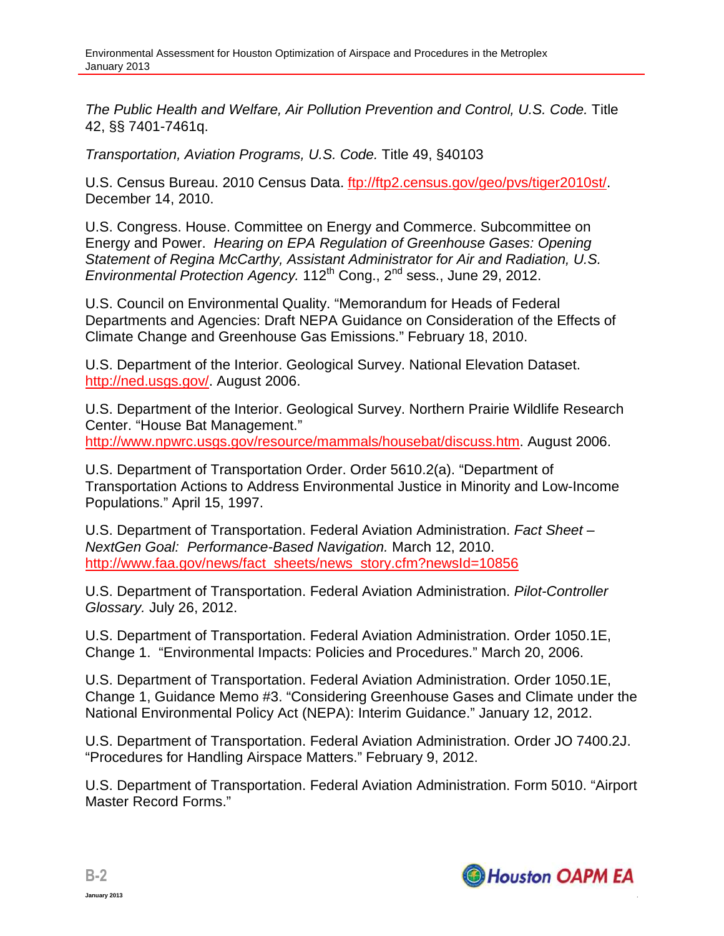*The Public Health and Welfare, Air Pollution Prevention and Control, U.S. Code.* Title 42, §§ 7401-7461q.

*Transportation, Aviation Programs, U.S. Code.* Title 49, §40103

U.S. Census Bureau. 2010 Census Data. ftp://ftp2.census.gov/geo/pvs/tiger2010st/. December 14, 2010.

U.S. Congress. House. Committee on Energy and Commerce. Subcommittee on Energy and Power. *Hearing on EPA Regulation of Greenhouse Gases: Opening Statement of Regina McCarthy, Assistant Administrator for Air and Radiation, U.S. Environmental Protection Agency.* 112th Cong., 2nd sess., June 29, 2012.

U.S. Council on Environmental Quality. "Memorandum for Heads of Federal Departments and Agencies: Draft NEPA Guidance on Consideration of the Effects of Climate Change and Greenhouse Gas Emissions." February 18, 2010.

U.S. Department of the Interior. Geological Survey. National Elevation Dataset. http://ned.usgs.gov/. August 2006.

U.S. Department of the Interior. Geological Survey. Northern Prairie Wildlife Research Center. "House Bat Management." http://www.npwrc.usgs.gov/resource/mammals/housebat/discuss.htm. August 2006.

U.S. Department of Transportation Order. Order 5610.2(a). "Department of Transportation Actions to Address Environmental Justice in Minority and Low-Income Populations." April 15, 1997.

U.S. Department of Transportation. Federal Aviation Administration. *Fact Sheet – NextGen Goal: Performance-Based Navigation.* March 12, 2010. http://www.faa.gov/news/fact sheets/news story.cfm?newsId=10856

U.S. Department of Transportation. Federal Aviation Administration. *Pilot-Controller Glossary.* July 26, 2012.

U.S. Department of Transportation. Federal Aviation Administration. Order 1050.1E, Change 1. "Environmental Impacts: Policies and Procedures." March 20, 2006.

U.S. Department of Transportation. Federal Aviation Administration. Order 1050.1E, Change 1, Guidance Memo #3. "Considering Greenhouse Gases and Climate under the National Environmental Policy Act (NEPA): Interim Guidance." January 12, 2012.

U.S. Department of Transportation. Federal Aviation Administration. Order JO 7400.2J. "Procedures for Handling Airspace Matters." February 9, 2012.

U.S. Department of Transportation. Federal Aviation Administration. Form 5010. "Airport Master Record Forms."

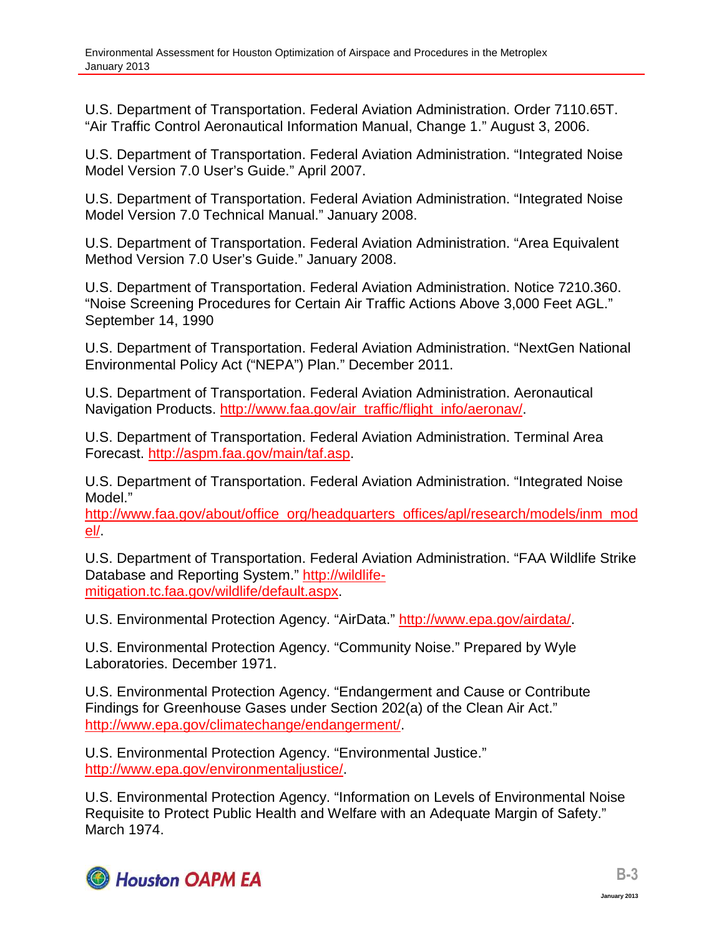U.S. Department of Transportation. Federal Aviation Administration. Order 7110.65T. "Air Traffic Control Aeronautical Information Manual, Change 1." August 3, 2006.

U.S. Department of Transportation. Federal Aviation Administration. "Integrated Noise Model Version 7.0 User's Guide." April 2007.

U.S. Department of Transportation. Federal Aviation Administration. "Integrated Noise Model Version 7.0 Technical Manual." January 2008.

U.S. Department of Transportation. Federal Aviation Administration. "Area Equivalent Method Version 7.0 User's Guide." January 2008.

U.S. Department of Transportation. Federal Aviation Administration. Notice 7210.360. "Noise Screening Procedures for Certain Air Traffic Actions Above 3,000 Feet AGL." September 14, 1990

U.S. Department of Transportation. Federal Aviation Administration. "NextGen National Environmental Policy Act ("NEPA") Plan." December 2011.

U.S. Department of Transportation. Federal Aviation Administration. Aeronautical Navigation Products. http://www.faa.gov/air traffic/flight info/aeronav/.

U.S. Department of Transportation. Federal Aviation Administration. Terminal Area Forecast. http://aspm.faa.gov/main/taf.asp.

U.S. Department of Transportation. Federal Aviation Administration. "Integrated Noise Model."

http://www.faa.gov/about/office org/headquarters offices/apl/research/models/inm mod el/.

U.S. Department of Transportation. Federal Aviation Administration. "FAA Wildlife Strike Database and Reporting System." http://wildlifemitigation.tc.faa.gov/wildlife/default.aspx.

U.S. Environmental Protection Agency. "AirData." http://www.epa.gov/airdata/.

U.S. Environmental Protection Agency. "Community Noise." Prepared by Wyle Laboratories. December 1971.

U.S. Environmental Protection Agency. "Endangerment and Cause or Contribute Findings for Greenhouse Gases under Section 202(a) of the Clean Air Act." http://www.epa.gov/climatechange/endangerment/.

U.S. Environmental Protection Agency. "Environmental Justice." http://www.epa.gov/environmentaljustice/.

U.S. Environmental Protection Agency. "Information on Levels of Environmental Noise Requisite to Protect Public Health and Welfare with an Adequate Margin of Safety." March 1974.

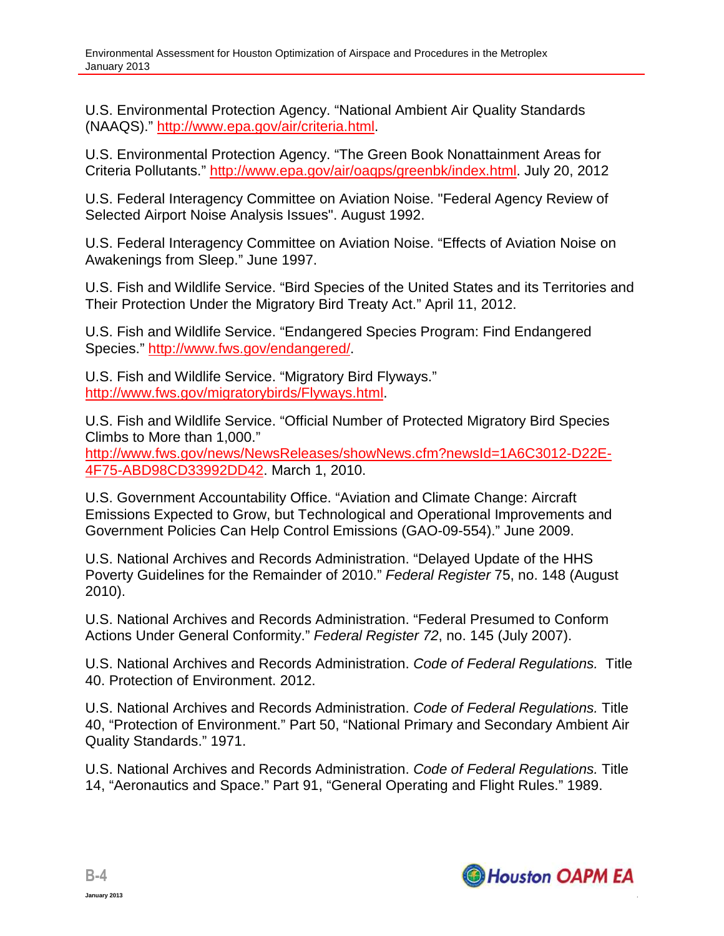U.S. Environmental Protection Agency. "National Ambient Air Quality Standards (NAAQS)." http://www.epa.gov/air/criteria.html.

U.S. Environmental Protection Agency. "The Green Book Nonattainment Areas for Criteria Pollutants." http://www.epa.gov/air/oaqps/greenbk/index.html. July 20, 2012

U.S. Federal Interagency Committee on Aviation Noise. "Federal Agency Review of Selected Airport Noise Analysis Issues". August 1992.

U.S. Federal Interagency Committee on Aviation Noise. "Effects of Aviation Noise on Awakenings from Sleep." June 1997.

U.S. Fish and Wildlife Service. "Bird Species of the United States and its Territories and Their Protection Under the Migratory Bird Treaty Act." April 11, 2012.

U.S. Fish and Wildlife Service. "Endangered Species Program: Find Endangered Species." http://www.fws.gov/endangered/.

U.S. Fish and Wildlife Service. "Migratory Bird Flyways." http://www.fws.gov/migratorybirds/Flyways.html.

U.S. Fish and Wildlife Service. "Official Number of Protected Migratory Bird Species Climbs to More than 1,000."

http://www.fws.gov/news/NewsReleases/showNews.cfm?newsId=1A6C3012-D22E-4F75-ABD98CD33992DD42. March 1, 2010.

U.S. Government Accountability Office. "Aviation and Climate Change: Aircraft Emissions Expected to Grow, but Technological and Operational Improvements and Government Policies Can Help Control Emissions (GAO-09-554)." June 2009.

U.S. National Archives and Records Administration. "Delayed Update of the HHS Poverty Guidelines for the Remainder of 2010." *Federal Register* 75, no. 148 (August 2010).

U.S. National Archives and Records Administration. "Federal Presumed to Conform Actions Under General Conformity." *Federal Register 72*, no. 145 (July 2007).

U.S. National Archives and Records Administration. *Code of Federal Regulations.* Title 40. Protection of Environment. 2012.

U.S. National Archives and Records Administration. *Code of Federal Regulations.* Title 40, "Protection of Environment." Part 50, "National Primary and Secondary Ambient Air Quality Standards." 1971.

U.S. National Archives and Records Administration. *Code of Federal Regulations.* Title 14, "Aeronautics and Space." Part 91, "General Operating and Flight Rules." 1989.

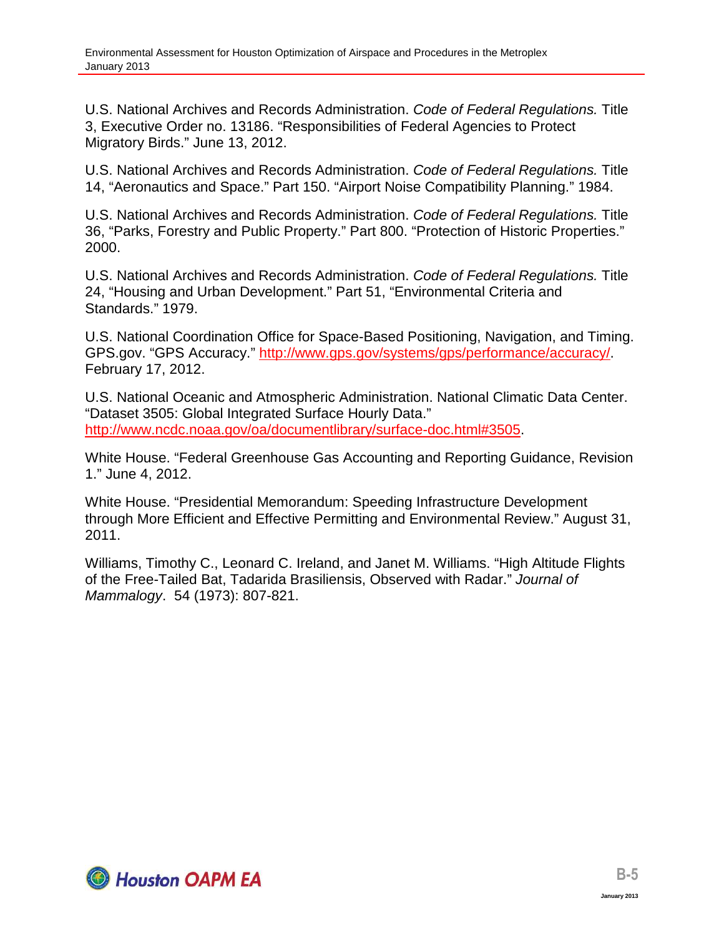U.S. National Archives and Records Administration. *Code of Federal Regulations.* Title 3, Executive Order no. 13186. "Responsibilities of Federal Agencies to Protect Migratory Birds." June 13, 2012.

U.S. National Archives and Records Administration. *Code of Federal Regulations.* Title 14, "Aeronautics and Space." Part 150. "Airport Noise Compatibility Planning." 1984.

U.S. National Archives and Records Administration. *Code of Federal Regulations.* Title 36, "Parks, Forestry and Public Property." Part 800. "Protection of Historic Properties." 2000.

U.S. National Archives and Records Administration. *Code of Federal Regulations.* Title 24, "Housing and Urban Development." Part 51, "Environmental Criteria and Standards." 1979.

U.S. National Coordination Office for Space-Based Positioning, Navigation, and Timing. GPS.gov. "GPS Accuracy." http://www.gps.gov/systems/gps/performance/accuracy/. February 17, 2012.

U.S. National Oceanic and Atmospheric Administration. National Climatic Data Center. "Dataset 3505: Global Integrated Surface Hourly Data." http://www.ncdc.noaa.gov/oa/documentlibrary/surface-doc.html#3505.

White House. "Federal Greenhouse Gas Accounting and Reporting Guidance, Revision 1." June 4, 2012.

White House. "Presidential Memorandum: Speeding Infrastructure Development through More Efficient and Effective Permitting and Environmental Review." August 31, 2011.

Williams, Timothy C., Leonard C. Ireland, and Janet M. Williams. "High Altitude Flights of the Free-Tailed Bat, Tadarida Brasiliensis, Observed with Radar." *Journal of Mammalogy*. 54 (1973): 807-821.

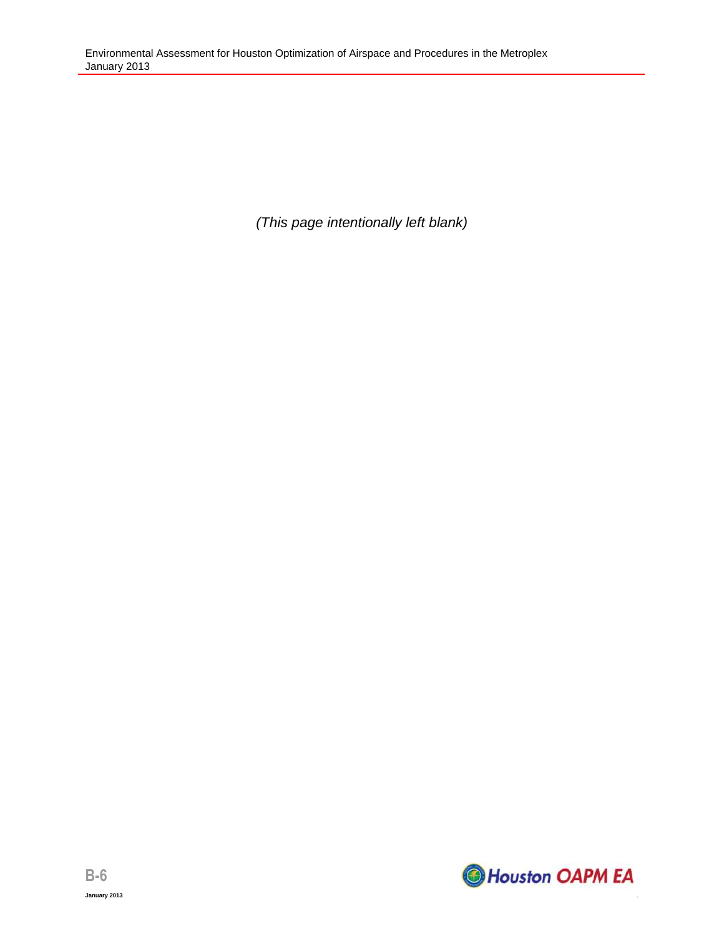*(This page intentionally left blank)*

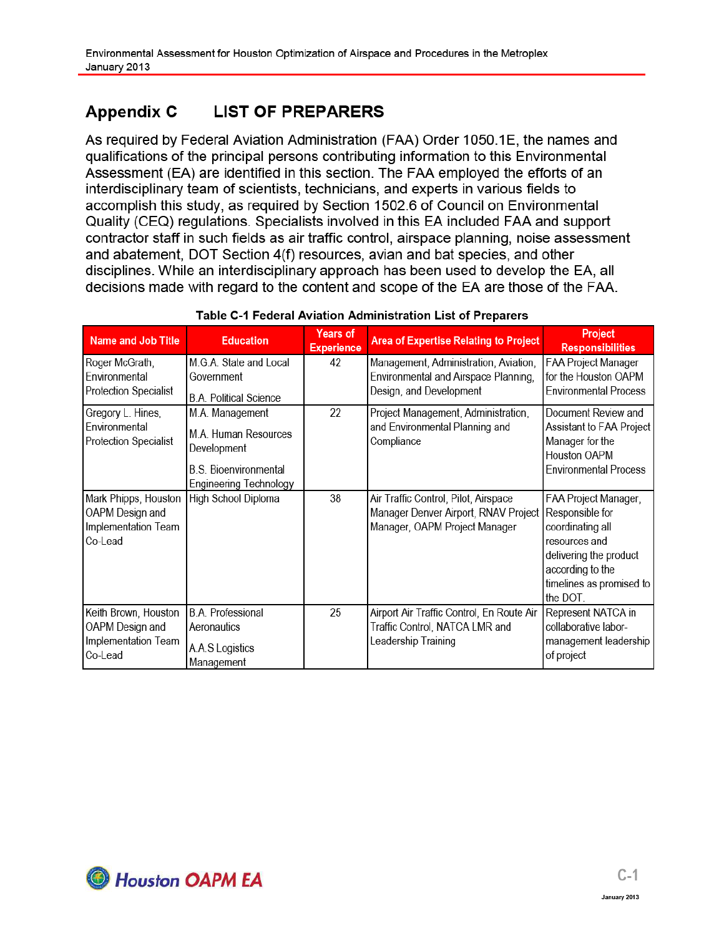#### **Appendix C LIST OF PREPARERS**

As required by Federal Aviation Administration (FAA) Order 1050.1E, the names and qualifications of the principal persons contributing information to this Environmental Assessment (EA) are identified in this section. The FAA employed the efforts of an interdisciplinary team of scientists, technicians, and experts in various fields to accomplish this study, as required by Section 1502.6 of Council on Environmental Quality (CEQ) regulations. Specialists involved in this EA included FAA and support contractor staff in such fields as air traffic control, airspace planning, noise assessment and abatement, DOT Section 4(f) resources, avian and bat species, and other disciplines. While an interdisciplinary approach has been used to develop the EA, all decisions made with regard to the content and scope of the EA are those of the FAA.

| <b>Name and Job Title</b>                                                 | <b>Education</b>                                                                                                                                         | <b>Years of</b><br><b>Experience</b> | Area of Expertise Relating to Project                                                                         | Project<br><b>Responsibilities</b>                                                                                                                                 |
|---------------------------------------------------------------------------|----------------------------------------------------------------------------------------------------------------------------------------------------------|--------------------------------------|---------------------------------------------------------------------------------------------------------------|--------------------------------------------------------------------------------------------------------------------------------------------------------------------|
| Roger McGrath,<br>Environmental<br><b>Protection Specialist</b>           | M.G.A. State and Local<br>Government                                                                                                                     | 42                                   | Management, Administration, Aviation,<br>Environmental and Airspace Planning,<br>Design, and Development      | FAA Project Manager<br>for the Houston OAPM<br><b>Environmental Process</b>                                                                                        |
| Gregory L. Hines,<br>Environmental<br><b>Protection Specialist</b>        | <b>B.A. Political Science</b><br>M.A. Management<br>M.A. Human Resources<br>Development<br><b>B.S. Bioenvironmental</b><br><b>Engineering Technology</b> | 22                                   | Project Management, Administration,<br>and Environmental Planning and<br>Compliance                           | Document Review and<br>Assistant to FAA Project<br>Manager for the<br>Houston OAPM<br><b>Environmental Process</b>                                                 |
| Mark Phipps, Houston<br>OAPM Design and<br>Implementation Team<br>Co-Lead | High School Diploma                                                                                                                                      | 38                                   | Air Traffic Control, Pilot, Airspace<br>Manager Denver Airport, RNAV Project<br>Manager, OAPM Project Manager | FAA Project Manager,<br>Responsible for<br>coordinating all<br>resources and<br>delivering the product<br>according to the<br>timelines as promised to<br>the DOT. |
| Keith Brown, Houston<br>OAPM Design and<br>Implementation Team<br>Co-Lead | <b>B.A.</b> Professional<br>Aeronautics<br>A.A.S Logistics<br>Management                                                                                 | 25                                   | Airport Air Traffic Control, En Route Air<br>Traffic Control, NATCA LMR and<br>Leadership Training            | Represent NATCA in<br>collaborative labor-<br>management leadership<br>of project                                                                                  |

#### Table C-1 Federal Aviation Administration List of Preparers

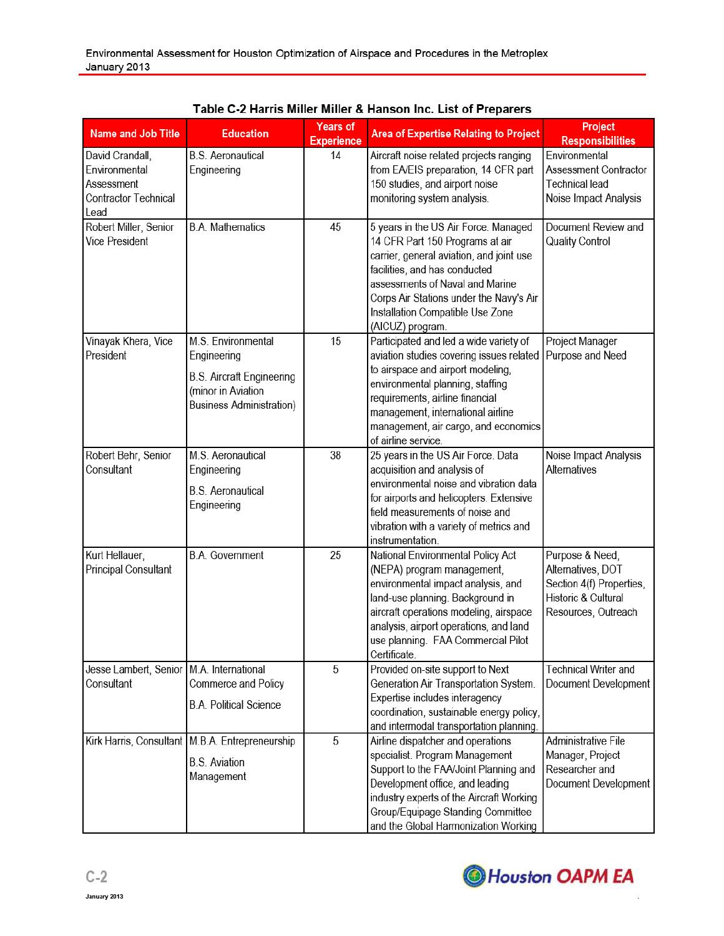| <b>Name and Job Title</b>                                                             | <b>Education</b>                                                                                                               | Years of<br><b>Experience</b> | Area of Expertise Relating to Project                                                                                                                                                                                                                                                              | Project<br><b>Responsibilities</b>                                                                             |
|---------------------------------------------------------------------------------------|--------------------------------------------------------------------------------------------------------------------------------|-------------------------------|----------------------------------------------------------------------------------------------------------------------------------------------------------------------------------------------------------------------------------------------------------------------------------------------------|----------------------------------------------------------------------------------------------------------------|
| David Crandall,<br>Environmental<br>Assessment<br><b>Contractor Technical</b><br>Lead | <b>B.S.</b> Aeronautical<br>Engineering                                                                                        | 14                            | Aircraft noise related projects ranging<br>from EA/EIS preparation, 14 CFR part<br>150 studies, and airport noise<br>monitoring system analysis.                                                                                                                                                   | Environmental<br>Assessment Contractor<br><b>Technical lead</b><br>Noise Impact Analysis                       |
| Robert Miller, Senior<br><b>Vice President</b>                                        | <b>B.A. Mathematics</b>                                                                                                        | 45                            | 5 years in the US Air Force. Managed<br>14 CFR Part 150 Programs at air<br>carrier, general aviation, and joint use<br>facilities, and has conducted<br>assessments of Naval and Marine<br>Corps Air Stations under the Navy's Air<br>Installation Compatible Use Zone<br>(AICUZ) program.         | Document Review and<br><b>Quality Control</b>                                                                  |
| Vinayak Khera, Vice<br>President                                                      | M.S. Environmental<br>Engineering<br><b>B.S. Aircraft Engineering</b><br>(minor in Aviation<br><b>Business Administration)</b> | 15                            | Participated and led a wide variety of<br>aviation studies covering issues related<br>to airspace and airport modeling,<br>environmental planning, staffing<br>requirements, airline financial<br>management, international airline<br>management, air cargo, and economics<br>of airline service. | Project Manager<br>Purpose and Need                                                                            |
| Robert Behr, Senior<br>Consultant                                                     | M.S. Aeronautical<br>Engineering<br><b>B.S.</b> Aeronautical<br>Engineering                                                    | 38                            | 25 years in the US Air Force. Data<br>acquisition and analysis of<br>environmental noise and vibration data<br>for airports and helicopters. Extensive<br>field measurements of noise and<br>vibration with a variety of metrics and<br>instrumentation.                                           | Noise Impact Analysis<br>Alternatives                                                                          |
| Kurt Hellauer,<br><b>Principal Consultant</b>                                         | <b>B.A.</b> Government                                                                                                         | 25                            | National Environmental Policy Act<br>(NEPA) program management,<br>environmental impact analysis, and<br>land-use planning. Background in<br>aircraft operations modeling, airspace<br>analysis, airport operations, and land<br>use planning. FAA Commercial Pilot<br>Certificate.                | Purpose & Need,<br>Alternatives, DOT<br>Section 4(f) Properties,<br>Historic & Cultural<br>Resources, Outreach |
| Jesse Lambert, Senior   M.A. International<br>Consultant                              | Commerce and Policy<br><b>B.A. Political Science</b>                                                                           | 5                             | Provided on-site support to Next<br>Generation Air Transportation System.<br>Expertise includes interagency<br>coordination, sustainable energy policy,<br>and intermodal transportation planning.                                                                                                 | Technical Writer and<br>Document Development                                                                   |
|                                                                                       | Kirk Harris, Consultant M.B.A. Entrepreneurship<br><b>B.S. Aviation</b><br>Management                                          | 5                             | Airline dispatcher and operations<br>specialist. Program Management<br>Support to the FAA/Joint Planning and<br>Development office, and leading<br>industry experts of the Aircraft Working<br>Group/Equipage Standing Committee<br>and the Global Harmonization Working                           | Administrative File<br>Manager, Project<br>Researcher and<br>Document Development                              |

Table C-2 Harris Miller Miller & Hanson Inc. List of Preparers

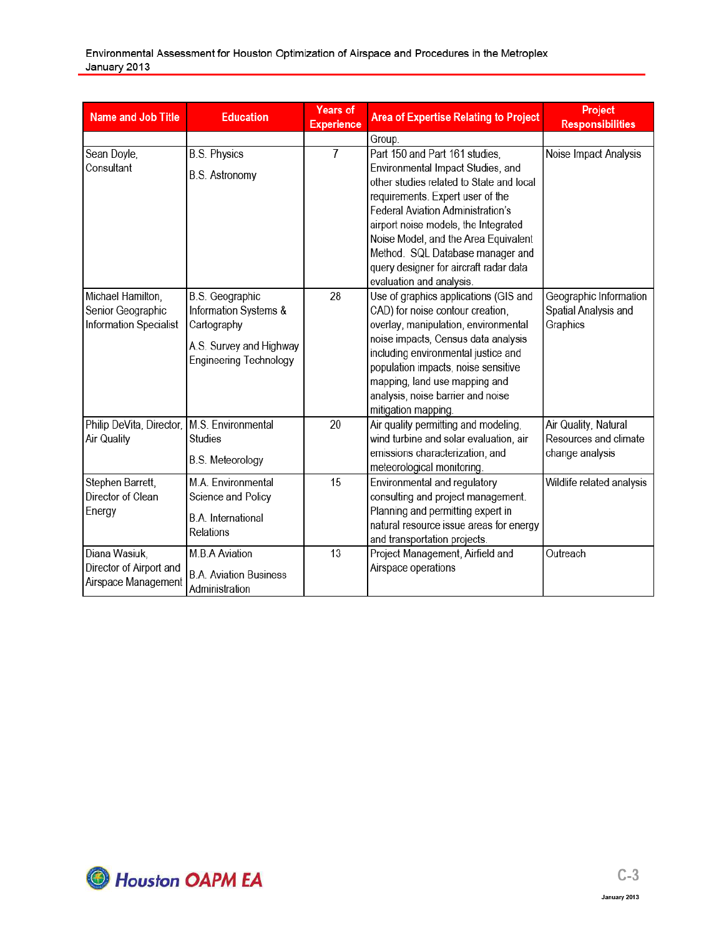| <b>Name and Job Title</b>                                               | <b>Education</b>                                                                                                           | Years of<br><b>Experience</b> | Area of Expertise Relating to Project                                                                                                                                                                                                                                                                                                                                                               | Project<br><b>Responsibilities</b>                               |
|-------------------------------------------------------------------------|----------------------------------------------------------------------------------------------------------------------------|-------------------------------|-----------------------------------------------------------------------------------------------------------------------------------------------------------------------------------------------------------------------------------------------------------------------------------------------------------------------------------------------------------------------------------------------------|------------------------------------------------------------------|
| Sean Doyle,<br>Consultant                                               | <b>B.S. Physics</b><br><b>B.S. Astronomy</b>                                                                               | 7                             | Group.<br>Part 150 and Part 161 studies,<br>Environmental Impact Studies, and<br>other studies related to State and local<br>requirements. Expert user of the<br><b>Federal Aviation Administration's</b><br>airport noise models, the Integrated<br>Noise Model, and the Area Equivalent<br>Method. SQL Database manager and<br>query designer for aircraft radar data<br>evaluation and analysis. | Noise Impact Analysis                                            |
| Michael Hamilton,<br>Senior Geographic<br><b>Information Specialist</b> | <b>B.S.</b> Geographic<br>Information Systems &<br>Cartography<br>A.S. Survey and Highway<br><b>Engineering Technology</b> | 28                            | Use of graphics applications (GIS and<br>CAD) for noise contour creation,<br>overlay, manipulation, environmental<br>noise impacts, Census data analysis<br>including environmental justice and<br>population impacts, noise sensitive<br>mapping, land use mapping and<br>analysis, noise barrier and noise<br>mitigation mapping.                                                                 | Geographic Information<br>Spatial Analysis and<br>Graphics       |
| Philip DeVita, Director, M.S. Environmental<br>Air Quality              | <b>Studies</b><br><b>B.S. Meteorology</b>                                                                                  | 20                            | Air quality permitting and modeling,<br>wind turbine and solar evaluation, air<br>emissions characterization, and<br>meteorological monitoring.                                                                                                                                                                                                                                                     | Air Quality, Natural<br>Resources and climate<br>change analysis |
| Stephen Barrett,<br>Director of Clean<br>Energy                         | M.A. Environmental<br>Science and Policy<br><b>B.A.</b> International<br>Relations                                         | 15                            | Environmental and regulatory<br>consulting and project management.<br>Planning and permitting expert in<br>natural resource issue areas for energy<br>and transportation projects.                                                                                                                                                                                                                  | Wildlife related analysis                                        |
| Diana Wasiuk,<br>Director of Airport and<br>Airspace Management         | <b>M.B.A Aviation</b><br><b>B.A. Aviation Business</b><br>Administration                                                   | 13                            | Project Management, Airfield and<br>Airspace operations                                                                                                                                                                                                                                                                                                                                             | Outreach                                                         |

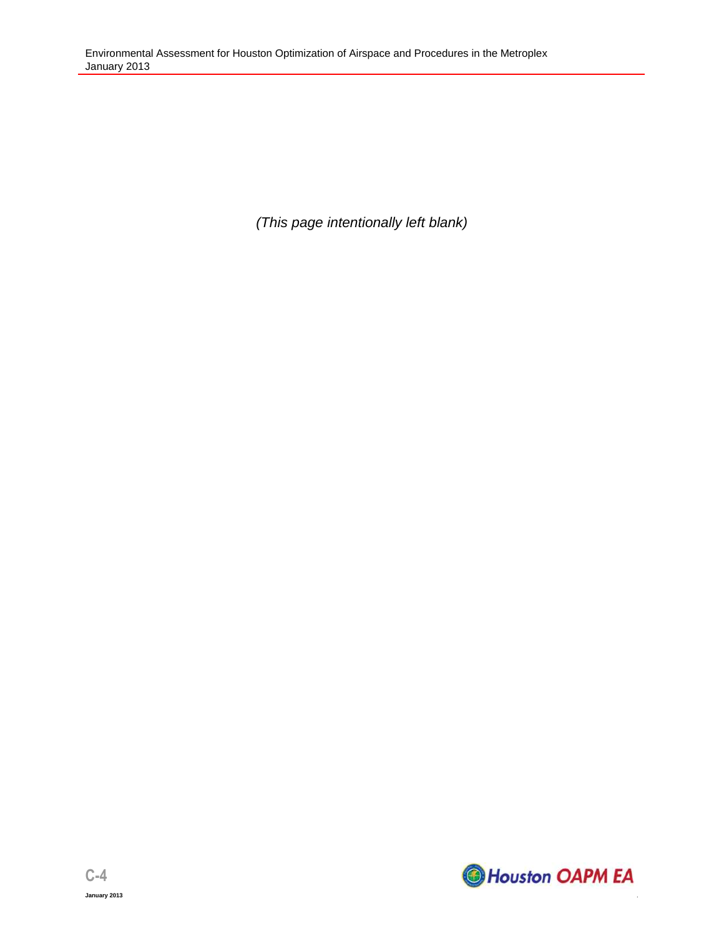*(This page intentionally left blank)*

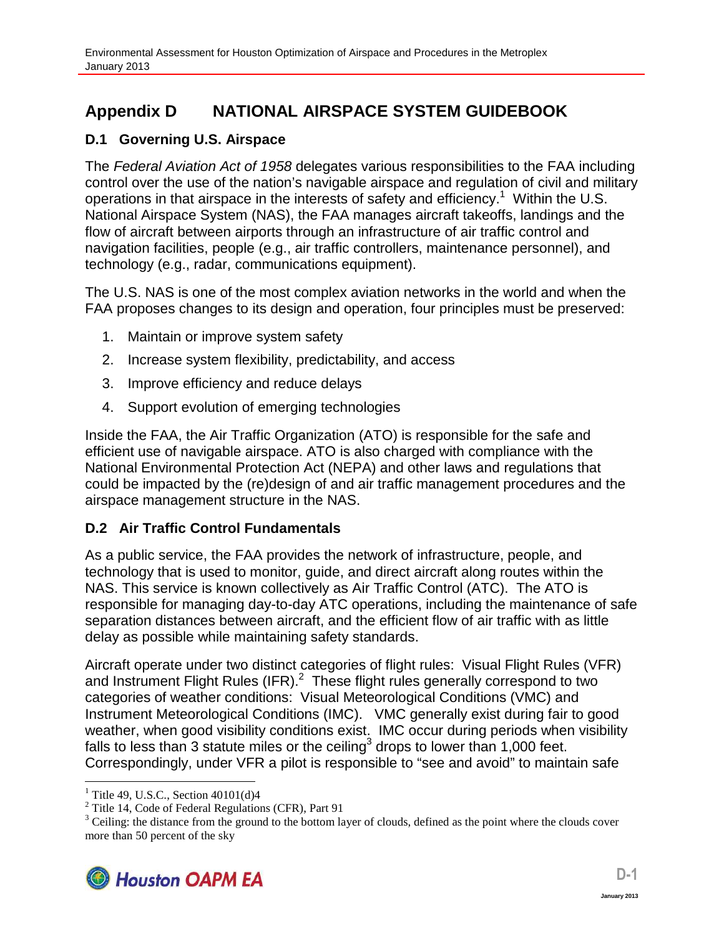# **Appendix D NATIONAL AIRSPACE SYSTEM GUIDEBOOK**

### **D.1 Governing U.S. Airspace**

The *Federal Aviation Act of 1958* delegates various responsibilities to the FAA including control over the use of the nation's navigable airspace and regulation of civil and military operations in that airspace in the interests of safety and efficiency.<sup>1</sup> Within the U.S. National Airspace System (NAS), the FAA manages aircraft takeoffs, landings and the flow of aircraft between airports through an infrastructure of air traffic control and navigation facilities, people (e.g., air traffic controllers, maintenance personnel), and technology (e.g., radar, communications equipment).

The U.S. NAS is one of the most complex aviation networks in the world and when the FAA proposes changes to its design and operation, four principles must be preserved:

- 1. Maintain or improve system safety
- 2. Increase system flexibility, predictability, and access
- 3. Improve efficiency and reduce delays
- 4. Support evolution of emerging technologies

Inside the FAA, the Air Traffic Organization (ATO) is responsible for the safe and efficient use of navigable airspace. ATO is also charged with compliance with the National Environmental Protection Act (NEPA) and other laws and regulations that could be impacted by the (re)design of and air traffic management procedures and the airspace management structure in the NAS.

#### **D.2 Air Traffic Control Fundamentals**

As a public service, the FAA provides the network of infrastructure, people, and technology that is used to monitor, guide, and direct aircraft along routes within the NAS. This service is known collectively as Air Traffic Control (ATC). The ATO is responsible for managing day-to-day ATC operations, including the maintenance of safe separation distances between aircraft, and the efficient flow of air traffic with as little delay as possible while maintaining safety standards.

Aircraft operate under two distinct categories of flight rules: Visual Flight Rules (VFR) and Instrument Flight Rules (IFR). $^2$  These flight rules generally correspond to two categories of weather conditions: Visual Meteorological Conditions (VMC) and Instrument Meteorological Conditions (IMC). VMC generally exist during fair to good weather, when good visibility conditions exist. IMC occur during periods when visibility falls to less than 3 statute miles or the ceiling<sup>3</sup> drops to lower than 1,000 feet. Correspondingly, under VFR a pilot is responsible to "see and avoid" to maintain safe

<sup>&</sup>lt;sup>3</sup> Ceiling: the distance from the ground to the bottom layer of clouds, defined as the point where the clouds cover more than 50 percent of the sky



 $1$  Title 49, U.S.C., Section 40101(d)4

 $2$  Title 14, Code of Federal Regulations (CFR), Part 91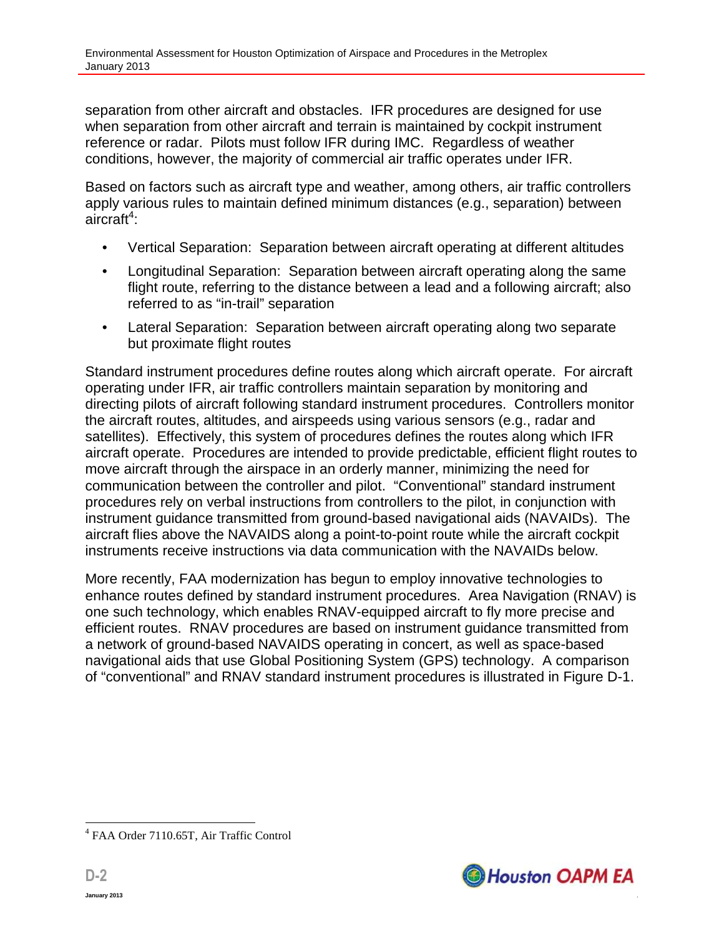separation from other aircraft and obstacles. IFR procedures are designed for use when separation from other aircraft and terrain is maintained by cockpit instrument reference or radar. Pilots must follow IFR during IMC. Regardless of weather conditions, however, the majority of commercial air traffic operates under IFR.

Based on factors such as aircraft type and weather, among others, air traffic controllers apply various rules to maintain defined minimum distances (e.g., separation) between aircraft<sup>4</sup>:

- Vertical Separation: Separation between aircraft operating at different altitudes
- Longitudinal Separation: Separation between aircraft operating along the same flight route, referring to the distance between a lead and a following aircraft; also referred to as "in-trail" separation
- Lateral Separation: Separation between aircraft operating along two separate but proximate flight routes

Standard instrument procedures define routes along which aircraft operate. For aircraft operating under IFR, air traffic controllers maintain separation by monitoring and directing pilots of aircraft following standard instrument procedures. Controllers monitor the aircraft routes, altitudes, and airspeeds using various sensors (e.g., radar and satellites). Effectively, this system of procedures defines the routes along which IFR aircraft operate. Procedures are intended to provide predictable, efficient flight routes to move aircraft through the airspace in an orderly manner, minimizing the need for communication between the controller and pilot. "Conventional" standard instrument procedures rely on verbal instructions from controllers to the pilot, in conjunction with instrument guidance transmitted from ground-based navigational aids (NAVAIDs). The aircraft flies above the NAVAIDS along a point-to-point route while the aircraft cockpit instruments receive instructions via data communication with the NAVAIDs below.

More recently, FAA modernization has begun to employ innovative technologies to enhance routes defined by standard instrument procedures. Area Navigation (RNAV) is one such technology, which enables RNAV-equipped aircraft to fly more precise and efficient routes. RNAV procedures are based on instrument guidance transmitted from a network of ground-based NAVAIDS operating in concert, as well as space-based navigational aids that use Global Positioning System (GPS) technology. A comparison of "conventional" and RNAV standard instrument procedures is illustrated in Figure D-1.



<sup>4</sup> FAA Order 7110.65T, Air Traffic Control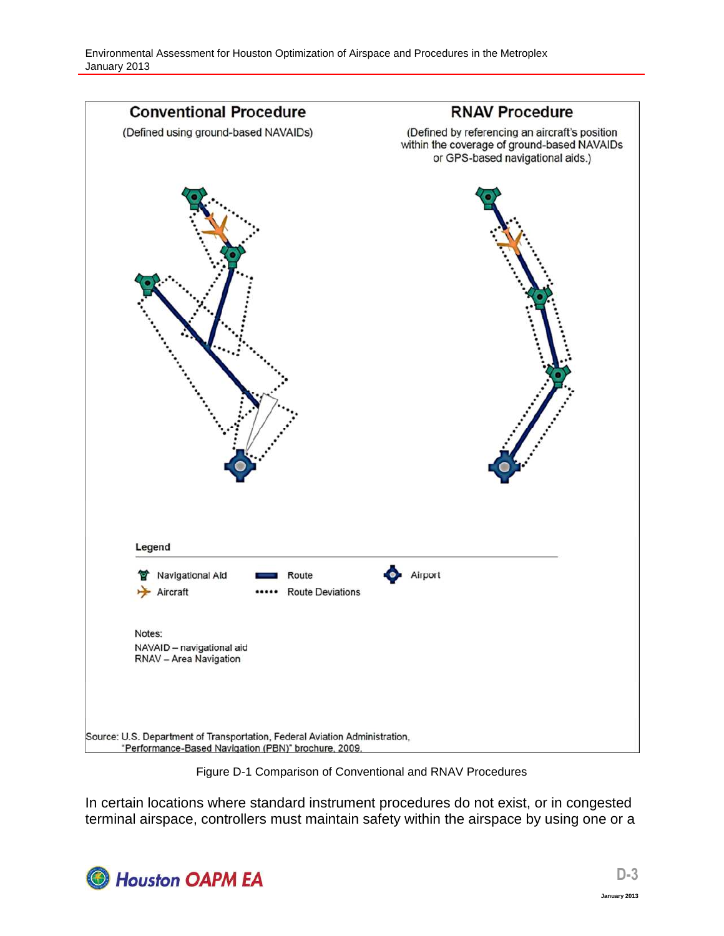

Figure D-1 Comparison of Conventional and RNAV Procedures

In certain locations where standard instrument procedures do not exist, or in congested terminal airspace, controllers must maintain safety within the airspace by using one or a

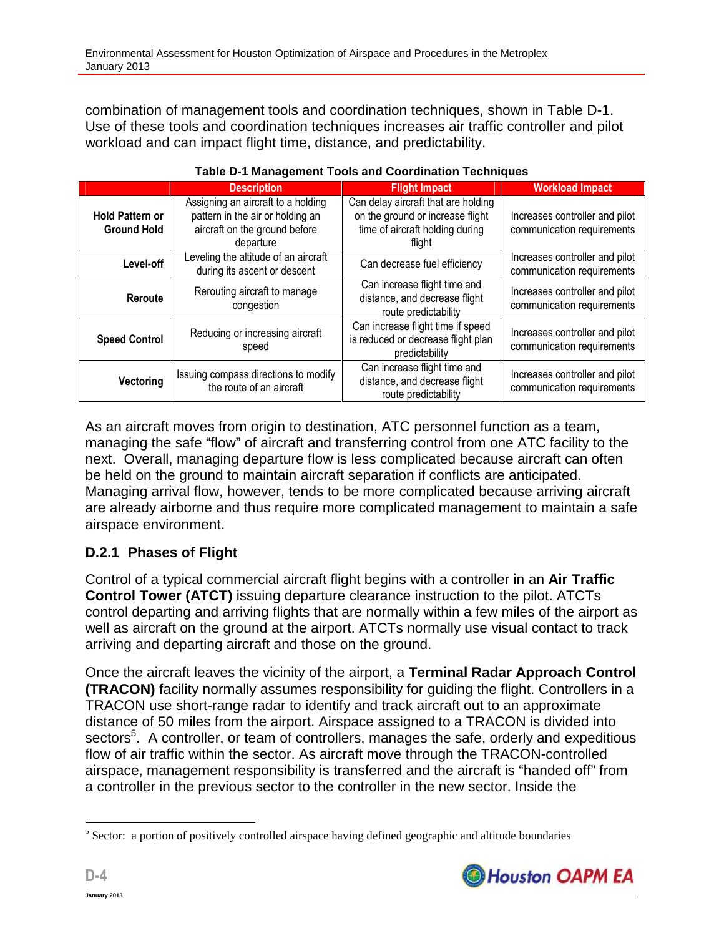combination of management tools and coordination techniques, shown in Table D-1. Use of these tools and coordination techniques increases air traffic controller and pilot workload and can impact flight time, distance, and predictability.

|                                              | <b>Description</b>                                                                                                   | <b>Flight Impact</b>                                                                                                 | <b>Workload Impact</b>                                       |
|----------------------------------------------|----------------------------------------------------------------------------------------------------------------------|----------------------------------------------------------------------------------------------------------------------|--------------------------------------------------------------|
| <b>Hold Pattern or</b><br><b>Ground Hold</b> | Assigning an aircraft to a holding<br>pattern in the air or holding an<br>aircraft on the ground before<br>departure | Can delay aircraft that are holding<br>on the ground or increase flight<br>time of aircraft holding during<br>flight | Increases controller and pilot<br>communication requirements |
| Level-off                                    | Leveling the altitude of an aircraft<br>during its ascent or descent                                                 | Can decrease fuel efficiency                                                                                         | Increases controller and pilot<br>communication requirements |
| Reroute                                      | Rerouting aircraft to manage<br>congestion                                                                           | Can increase flight time and<br>distance, and decrease flight<br>route predictability                                | Increases controller and pilot<br>communication requirements |
| <b>Speed Control</b>                         | Reducing or increasing aircraft<br>speed                                                                             | Can increase flight time if speed<br>is reduced or decrease flight plan<br>predictability                            | Increases controller and pilot<br>communication requirements |
| Vectoring                                    | Issuing compass directions to modify<br>the route of an aircraft                                                     | Can increase flight time and<br>distance, and decrease flight<br>route predictability                                | Increases controller and pilot<br>communication requirements |

| Table D-1 Management Tools and Coordination Techniques |  |  |  |
|--------------------------------------------------------|--|--|--|
|--------------------------------------------------------|--|--|--|

As an aircraft moves from origin to destination, ATC personnel function as a team, managing the safe "flow" of aircraft and transferring control from one ATC facility to the next. Overall, managing departure flow is less complicated because aircraft can often be held on the ground to maintain aircraft separation if conflicts are anticipated. Managing arrival flow, however, tends to be more complicated because arriving aircraft are already airborne and thus require more complicated management to maintain a safe airspace environment.

## **D.2.1 Phases of Flight**

Control of a typical commercial aircraft flight begins with a controller in an **Air Traffic Control Tower (ATCT)** issuing departure clearance instruction to the pilot. ATCTs control departing and arriving flights that are normally within a few miles of the airport as well as aircraft on the ground at the airport. ATCTs normally use visual contact to track arriving and departing aircraft and those on the ground.

Once the aircraft leaves the vicinity of the airport, a **Terminal Radar Approach Control (TRACON)** facility normally assumes responsibility for guiding the flight. Controllers in a TRACON use short-range radar to identify and track aircraft out to an approximate distance of 50 miles from the airport. Airspace assigned to a TRACON is divided into sectors<sup>5</sup>. A controller, or team of controllers, manages the safe, orderly and expeditious flow of air traffic within the sector. As aircraft move through the TRACON-controlled airspace, management responsibility is transferred and the aircraft is "handed off" from a controller in the previous sector to the controller in the new sector. Inside the

<sup>&</sup>lt;sup>5</sup> Sector: a portion of positively controlled airspace having defined geographic and altitude boundaries



**D-4**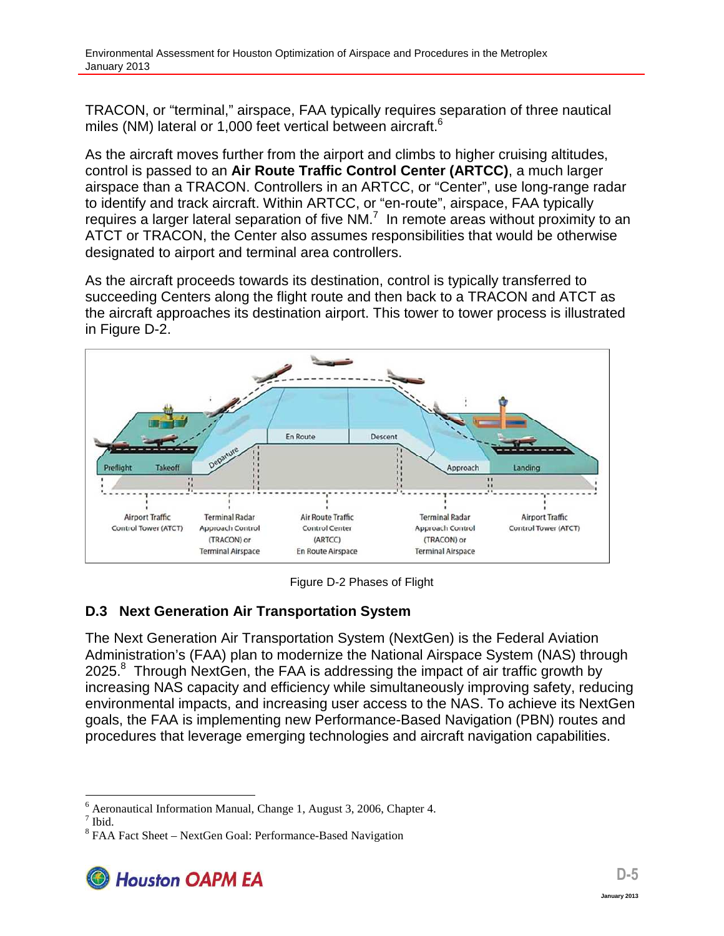TRACON, or "terminal," airspace, FAA typically requires separation of three nautical miles (NM) lateral or 1,000 feet vertical between aircraft.<sup>6</sup>

As the aircraft moves further from the airport and climbs to higher cruising altitudes, control is passed to an **Air Route Traffic Control Center (ARTCC)**, a much larger airspace than a TRACON. Controllers in an ARTCC, or "Center", use long-range radar to identify and track aircraft. Within ARTCC, or "en-route", airspace, FAA typically requires a larger lateral separation of five NM. $^7$  In remote areas without proximity to an ATCT or TRACON, the Center also assumes responsibilities that would be otherwise designated to airport and terminal area controllers.

As the aircraft proceeds towards its destination, control is typically transferred to succeeding Centers along the flight route and then back to a TRACON and ATCT as the aircraft approaches its destination airport. This tower to tower process is illustrated in Figure D-2.



Figure D-2 Phases of Flight

#### **D.3 Next Generation Air Transportation System**

The Next Generation Air Transportation System (NextGen) is the Federal Aviation Administration's (FAA) plan to modernize the National Airspace System (NAS) through 2025. $8$  Through NextGen, the FAA is addressing the impact of air traffic growth by increasing NAS capacity and efficiency while simultaneously improving safety, reducing environmental impacts, and increasing user access to the NAS. To achieve its NextGen goals, the FAA is implementing new Performance-Based Navigation (PBN) routes and procedures that leverage emerging technologies and aircraft navigation capabilities.

<sup>6</sup> Aeronautical Information Manual, Change 1, August 3, 2006, Chapter 4.

<sup>7</sup> Ibid.

<sup>&</sup>lt;sup>8</sup> FAA Fact Sheet - NextGen Goal: Performance-Based Navigation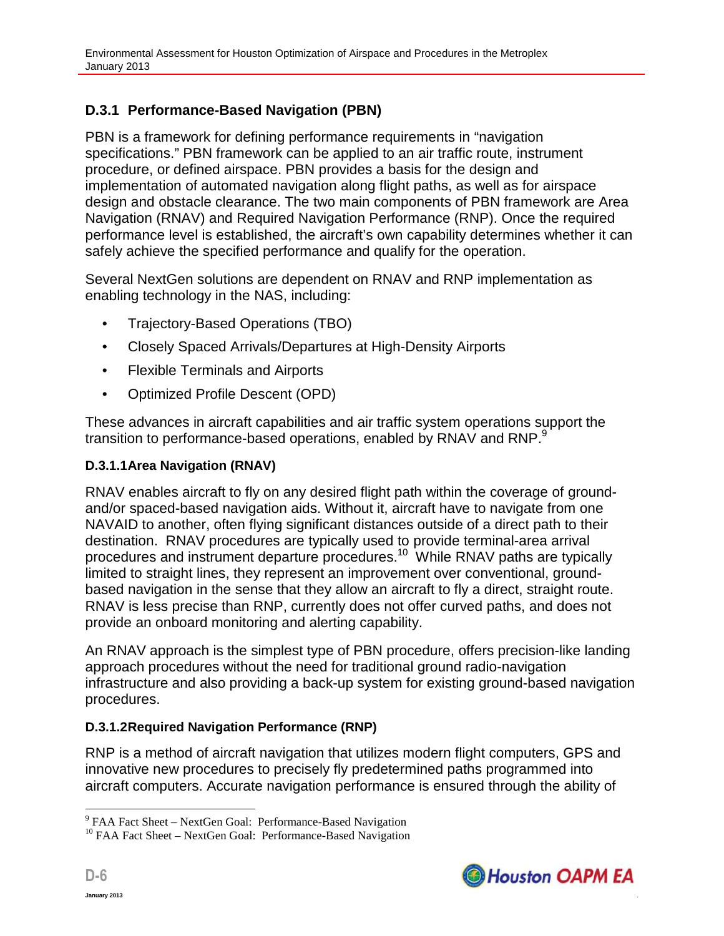## **D.3.1 Performance-Based Navigation (PBN)**

PBN is a framework for defining performance requirements in "navigation specifications." PBN framework can be applied to an air traffic route, instrument procedure, or defined airspace. PBN provides a basis for the design and implementation of automated navigation along flight paths, as well as for airspace design and obstacle clearance. The two main components of PBN framework are Area Navigation (RNAV) and Required Navigation Performance (RNP). Once the required performance level is established, the aircraft's own capability determines whether it can safely achieve the specified performance and qualify for the operation.

Several NextGen solutions are dependent on RNAV and RNP implementation as enabling technology in the NAS, including:

- Trajectory-Based Operations (TBO)
- Closely Spaced Arrivals/Departures at High-Density Airports
- Flexible Terminals and Airports
- Optimized Profile Descent (OPD)

These advances in aircraft capabilities and air traffic system operations support the transition to performance-based operations, enabled by RNAV and RNP.<sup>9</sup>

#### **D.3.1.1Area Navigation (RNAV)**

RNAV enables aircraft to fly on any desired flight path within the coverage of groundand/or spaced-based navigation aids. Without it, aircraft have to navigate from one NAVAID to another, often flying significant distances outside of a direct path to their destination. RNAV procedures are typically used to provide terminal-area arrival procedures and instrument departure procedures.<sup>10</sup> While RNAV paths are typically limited to straight lines, they represent an improvement over conventional, groundbased navigation in the sense that they allow an aircraft to fly a direct, straight route. RNAV is less precise than RNP, currently does not offer curved paths, and does not provide an onboard monitoring and alerting capability.

An RNAV approach is the simplest type of PBN procedure, offers precision-like landing approach procedures without the need for traditional ground radio-navigation infrastructure and also providing a back-up system for existing ground-based navigation procedures.

#### **D.3.1.2Required Navigation Performance (RNP)**

RNP is a method of aircraft navigation that utilizes modern flight computers, GPS and innovative new procedures to precisely fly predetermined paths programmed into aircraft computers. Accurate navigation performance is ensured through the ability of

<sup>&</sup>lt;sup>10</sup> FAA Fact Sheet – NextGen Goal: Performance-Based Navigation



**D-6**

<sup>&</sup>lt;sup>9</sup> FAA Fact Sheet – NextGen Goal: Performance-Based Navigation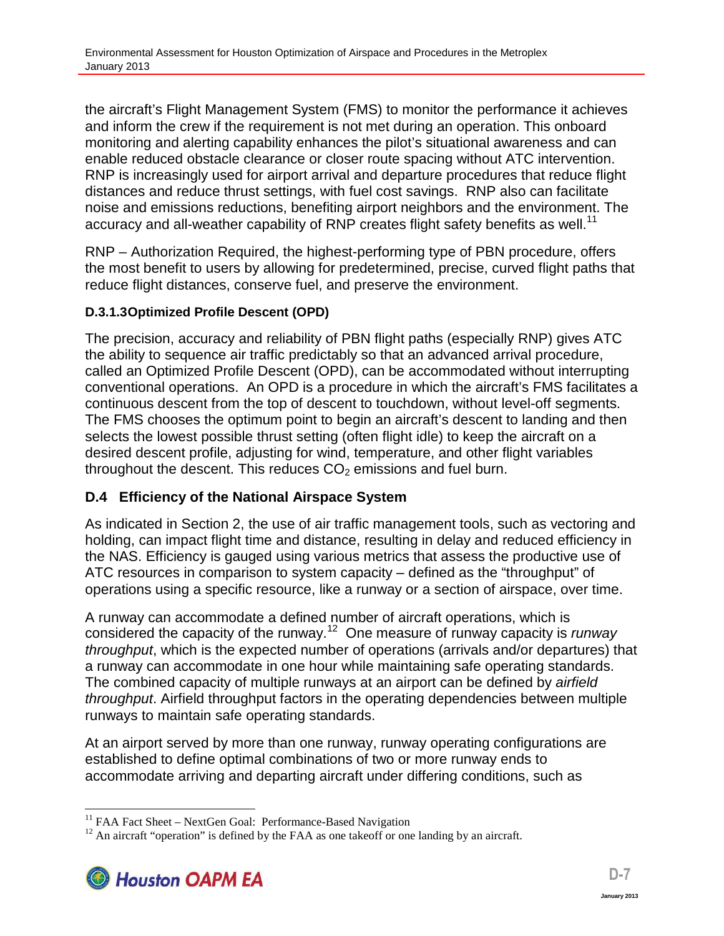the aircraft's Flight Management System (FMS) to monitor the performance it achieves and inform the crew if the requirement is not met during an operation. This onboard monitoring and alerting capability enhances the pilot's situational awareness and can enable reduced obstacle clearance or closer route spacing without ATC intervention. RNP is increasingly used for airport arrival and departure procedures that reduce flight distances and reduce thrust settings, with fuel cost savings. RNP also can facilitate noise and emissions reductions, benefiting airport neighbors and the environment. The accuracy and all-weather capability of RNP creates flight safety benefits as well.<sup>11</sup>

RNP – Authorization Required, the highest-performing type of PBN procedure, offers the most benefit to users by allowing for predetermined, precise, curved flight paths that reduce flight distances, conserve fuel, and preserve the environment.

#### **D.3.1.3Optimized Profile Descent (OPD)**

The precision, accuracy and reliability of PBN flight paths (especially RNP) gives ATC the ability to sequence air traffic predictably so that an advanced arrival procedure, called an Optimized Profile Descent (OPD), can be accommodated without interrupting conventional operations. An OPD is a procedure in which the aircraft's FMS facilitates a continuous descent from the top of descent to touchdown, without level-off segments. The FMS chooses the optimum point to begin an aircraft's descent to landing and then selects the lowest possible thrust setting (often flight idle) to keep the aircraft on a desired descent profile, adjusting for wind, temperature, and other flight variables throughout the descent. This reduces  $CO<sub>2</sub>$  emissions and fuel burn.

#### **D.4 Efficiency of the National Airspace System**

As indicated in Section 2, the use of air traffic management tools, such as vectoring and holding, can impact flight time and distance, resulting in delay and reduced efficiency in the NAS. Efficiency is gauged using various metrics that assess the productive use of ATC resources in comparison to system capacity – defined as the "throughput" of operations using a specific resource, like a runway or a section of airspace, over time.

A runway can accommodate a defined number of aircraft operations, which is considered the capacity of the runway.<sup>12</sup> One measure of runway capacity is *runway throughput*, which is the expected number of operations (arrivals and/or departures) that a runway can accommodate in one hour while maintaining safe operating standards. The combined capacity of multiple runways at an airport can be defined by *airfield throughput*. Airfield throughput factors in the operating dependencies between multiple runways to maintain safe operating standards.

At an airport served by more than one runway, runway operating configurations are established to define optimal combinations of two or more runway ends to accommodate arriving and departing aircraft under differing conditions, such as

 $12$  An aircraft "operation" is defined by the FAA as one takeoff or one landing by an aircraft.



<sup>&</sup>lt;sup>11</sup> FAA Fact Sheet – NextGen Goal: Performance-Based Navigation